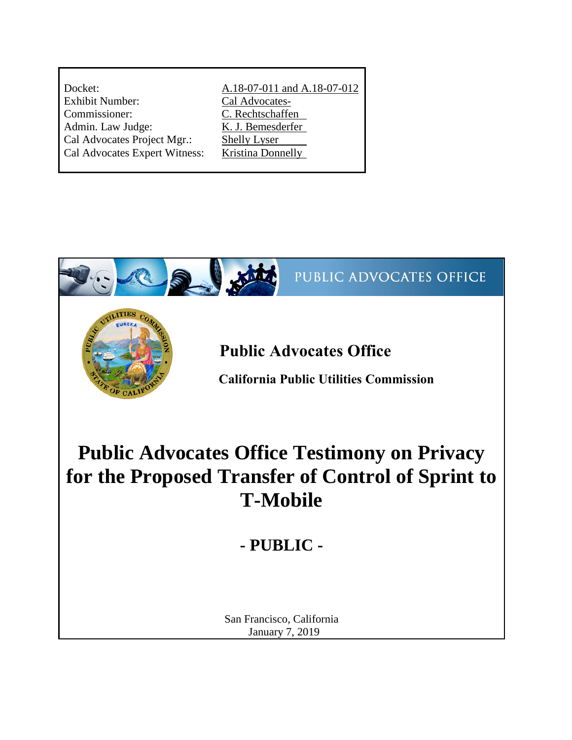| Docket:                       | A.18-07-011 and A.18-07-012 |
|-------------------------------|-----------------------------|
| <b>Exhibit Number:</b>        | Cal Advocates-              |
| Commissioner:                 | C. Rechtschaffen            |
| Admin. Law Judge:             | K. J. Bemesderfer           |
| Cal Advocates Project Mgr.:   | <b>Shelly Lyser</b>         |
| Cal Advocates Expert Witness: | <b>Kristina Donnelly</b>    |
|                               |                             |

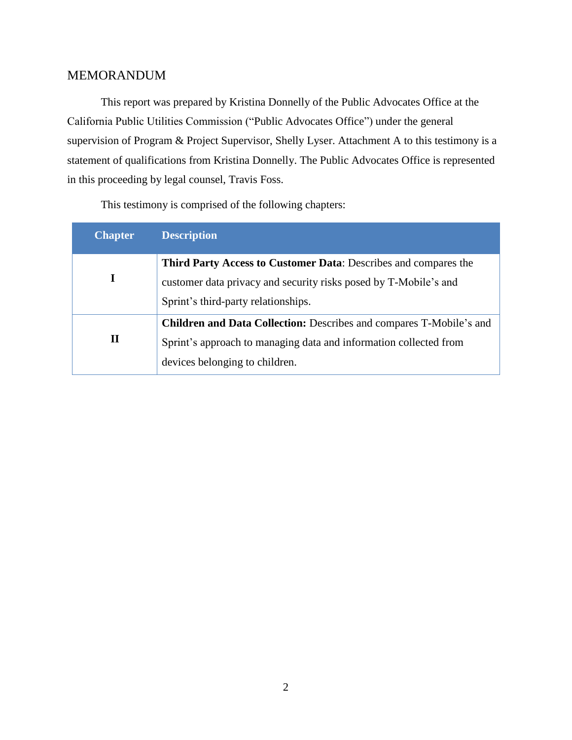# MEMORANDUM

This report was prepared by Kristina Donnelly of the Public Advocates Office at the California Public Utilities Commission ("Public Advocates Office") under the general supervision of Program & Project Supervisor, Shelly Lyser. Attachment A to this testimony is a statement of qualifications from Kristina Donnelly. The Public Advocates Office is represented in this proceeding by legal counsel, Travis Foss.

This testimony is comprised of the following chapters:

| <b>Chapter</b> | <b>Description</b>                                                                                                                                                                |  |
|----------------|-----------------------------------------------------------------------------------------------------------------------------------------------------------------------------------|--|
| I              | Third Party Access to Customer Data: Describes and compares the<br>customer data privacy and security risks posed by T-Mobile's and<br>Sprint's third-party relationships.        |  |
| П              | <b>Children and Data Collection:</b> Describes and compares T-Mobile's and<br>Sprint's approach to managing data and information collected from<br>devices belonging to children. |  |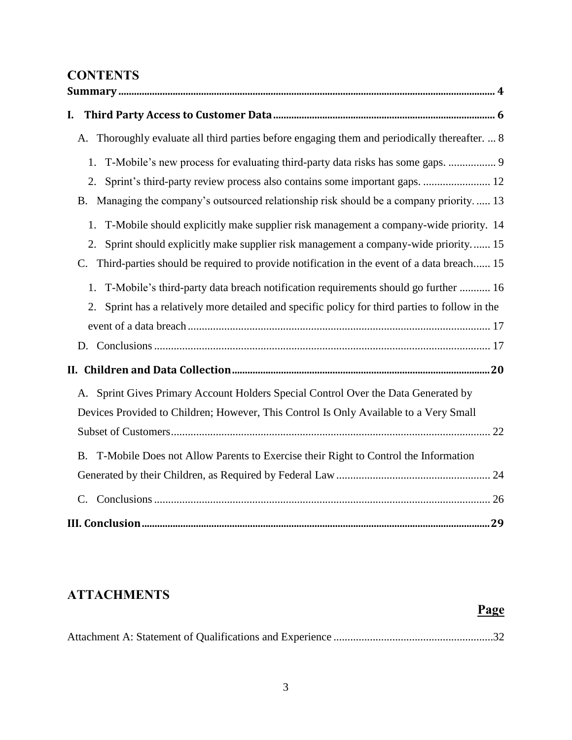# **CONTENTS**

| I.                                                                                                                                                                                                                                                                                                                                                                                                                                                                                                                                                             |
|----------------------------------------------------------------------------------------------------------------------------------------------------------------------------------------------------------------------------------------------------------------------------------------------------------------------------------------------------------------------------------------------------------------------------------------------------------------------------------------------------------------------------------------------------------------|
| A. Thoroughly evaluate all third parties before engaging them and periodically thereafter.  8                                                                                                                                                                                                                                                                                                                                                                                                                                                                  |
| T-Mobile's new process for evaluating third-party data risks has some gaps.  9<br>1.<br>Sprint's third-party review process also contains some important gaps.  12<br>2.<br>B. Managing the company's outsourced relationship risk should be a company priority 13<br>T-Mobile should explicitly make supplier risk management a company-wide priority. 14<br>1.<br>Sprint should explicitly make supplier risk management a company-wide priority 15<br>2.<br>Third-parties should be required to provide notification in the event of a data breach 15<br>C. |
| T-Mobile's third-party data breach notification requirements should go further  16<br>1.<br>Sprint has a relatively more detailed and specific policy for third parties to follow in the<br>2.                                                                                                                                                                                                                                                                                                                                                                 |
|                                                                                                                                                                                                                                                                                                                                                                                                                                                                                                                                                                |
|                                                                                                                                                                                                                                                                                                                                                                                                                                                                                                                                                                |
| A. Sprint Gives Primary Account Holders Special Control Over the Data Generated by<br>Devices Provided to Children; However, This Control Is Only Available to a Very Small                                                                                                                                                                                                                                                                                                                                                                                    |
| T-Mobile Does not Allow Parents to Exercise their Right to Control the Information<br><b>B.</b>                                                                                                                                                                                                                                                                                                                                                                                                                                                                |
|                                                                                                                                                                                                                                                                                                                                                                                                                                                                                                                                                                |
| $C_{\cdot}$                                                                                                                                                                                                                                                                                                                                                                                                                                                                                                                                                    |
|                                                                                                                                                                                                                                                                                                                                                                                                                                                                                                                                                                |

# **ATTACHMENTS**

# **Page**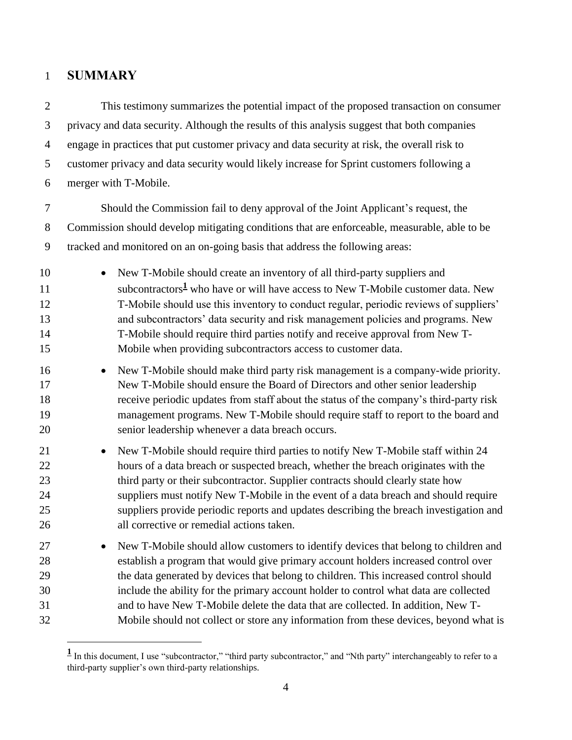# <span id="page-3-0"></span>**SUMMARY**

 $\overline{a}$ 

 This testimony summarizes the potential impact of the proposed transaction on consumer privacy and data security. Although the results of this analysis suggest that both companies engage in practices that put customer privacy and data security at risk, the overall risk to customer privacy and data security would likely increase for Sprint customers following a merger with T-Mobile. Should the Commission fail to deny approval of the Joint Applicant's request, the Commission should develop mitigating conditions that are enforceable, measurable, able to be tracked and monitored on an on-going basis that address the following areas: • New T-Mobile should create an inventory of all third-party suppliers and 11 subcontractors<sup>1</sup> who have or will have access to New T-Mobile customer data. New T-Mobile should use this inventory to conduct regular, periodic reviews of suppliers' and subcontractors' data security and risk management policies and programs. New T-Mobile should require third parties notify and receive approval from New T- Mobile when providing subcontractors access to customer data. • New T-Mobile should make third party risk management is a company-wide priority. New T-Mobile should ensure the Board of Directors and other senior leadership receive periodic updates from staff about the status of the company's third-party risk management programs. New T-Mobile should require staff to report to the board and senior leadership whenever a data breach occurs. • New T-Mobile should require third parties to notify New T-Mobile staff within 24 hours of a data breach or suspected breach, whether the breach originates with the 23 third party or their subcontractor. Supplier contracts should clearly state how suppliers must notify New T-Mobile in the event of a data breach and should require suppliers provide periodic reports and updates describing the breach investigation and all corrective or remedial actions taken. <sup>27</sup> • New T-Mobile should allow customers to identify devices that belong to children and establish a program that would give primary account holders increased control over the data generated by devices that belong to children. This increased control should include the ability for the primary account holder to control what data are collected and to have New T-Mobile delete the data that are collected. In addition, New T-Mobile should not collect or store any information from these devices, beyond what is

<sup>&</sup>lt;sup>1</sup> In this document, I use "subcontractor," "third party subcontractor," and "Nth party" interchangeably to refer to a third-party supplier's own third-party relationships.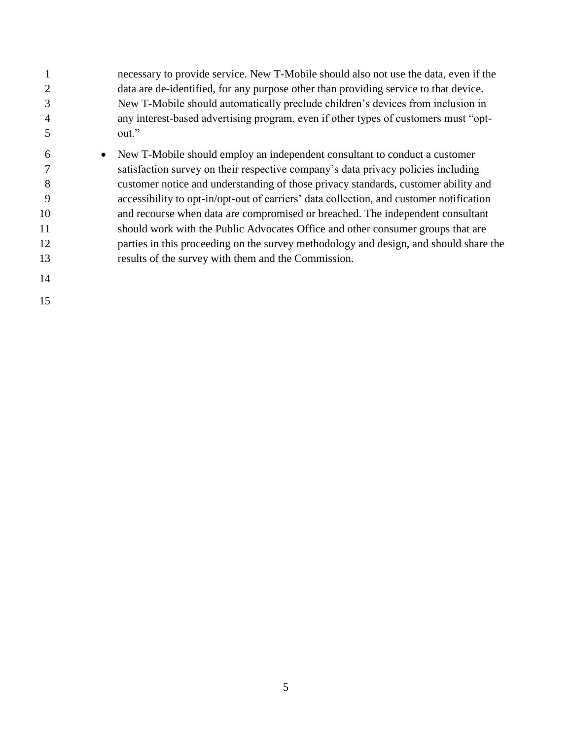- necessary to provide service. New T-Mobile should also not use the data, even if the data are de-identified, for any purpose other than providing service to that device. New T-Mobile should automatically preclude children's devices from inclusion in any interest-based advertising program, even if other types of customers must "opt-out."
- New T-Mobile should employ an independent consultant to conduct a customer satisfaction survey on their respective company's data privacy policies including customer notice and understanding of those privacy standards, customer ability and accessibility to opt-in/opt-out of carriers' data collection, and customer notification and recourse when data are compromised or breached. The independent consultant should work with the Public Advocates Office and other consumer groups that are parties in this proceeding on the survey methodology and design, and should share the results of the survey with them and the Commission.
-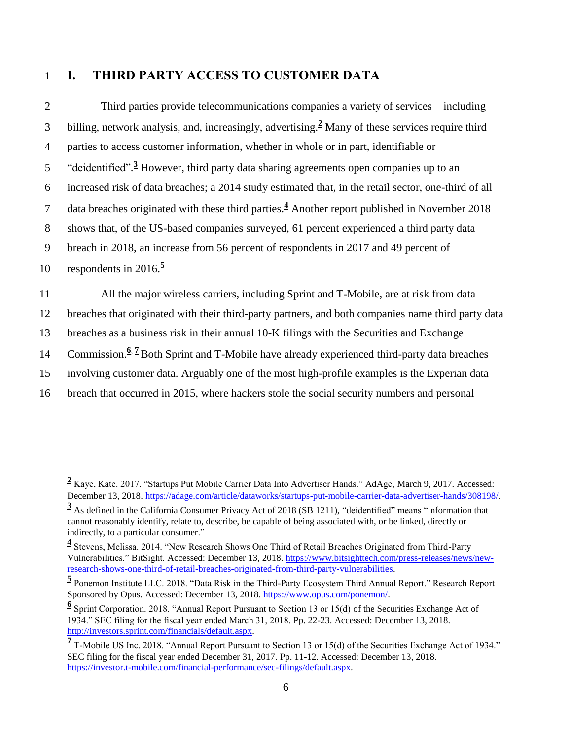## <span id="page-5-0"></span>1 **I. THIRD PARTY ACCESS TO CUSTOMER DATA**

| $\overline{2}$ | Third parties provide telecommunications companies a variety of services – including                               |
|----------------|--------------------------------------------------------------------------------------------------------------------|
| 3              | billing, network analysis, and, increasingly, advertising. <sup>2</sup> Many of these services require third       |
| $\overline{4}$ | parties to access customer information, whether in whole or in part, identifiable or                               |
| 5              | "deidentified". <sup>3</sup> However, third party data sharing agreements open companies up to an                  |
| 6              | increased risk of data breaches; a 2014 study estimated that, in the retail sector, one-third of all               |
| 7              | data breaches originated with these third parties. <sup>4</sup> Another report published in November 2018          |
| 8              | shows that, of the US-based companies surveyed, 61 percent experienced a third party data                          |
| 9              | breach in 2018, an increase from 56 percent of respondents in 2017 and 49 percent of                               |
| 10             | respondents in $2016$ . <sup>5</sup>                                                                               |
| 11             | All the major wireless carriers, including Sprint and T-Mobile, are at risk from data                              |
| 12             | breaches that originated with their third-party partners, and both companies name third party data                 |
| 13             | breaches as a business risk in their annual 10-K filings with the Securities and Exchange                          |
| 14             | Commission. <sup>6.</sup> <sup>7</sup> Both Sprint and T-Mobile have already experienced third-party data breaches |
| 15             | involving customer data. Arguably one of the most high-profile examples is the Experian data                       |
| 16             | breach that occurred in 2015, where hackers stole the social security numbers and personal                         |

**<sup>2</sup>** Kaye, Kate. 2017. "Startups Put Mobile Carrier Data Into Advertiser Hands." AdAge, March 9, 2017. Accessed: December 13, 2018[. https://adage.com/article/dataworks/startups-put-mobile-carrier-data-advertiser-hands/308198/.](https://adage.com/article/dataworks/startups-put-mobile-carrier-data-advertiser-hands/308198/)

**<sup>3</sup>** As defined in the California Consumer Privacy Act of 2018 (SB 1211), "deidentified" means "information that cannot reasonably identify, relate to, describe, be capable of being associated with, or be linked, directly or indirectly, to a particular consumer."

**<sup>4</sup>** Stevens, Melissa. 2014. "New Research Shows One Third of Retail Breaches Originated from Third-Party Vulnerabilities." BitSight. Accessed: December 13, 2018. [https://www.bitsighttech.com/press-releases/news/new](https://www.bitsighttech.com/press-releases/news/new-research-shows-one-third-of-retail-breaches-originated-from-third-party-vulnerabilities)[research-shows-one-third-of-retail-breaches-originated-from-third-party-vulnerabilities.](https://www.bitsighttech.com/press-releases/news/new-research-shows-one-third-of-retail-breaches-originated-from-third-party-vulnerabilities)

**<sup>5</sup>** Ponemon Institute LLC. 2018. "Data Risk in the Third-Party Ecosystem Third Annual Report." Research Report Sponsored by Opus. Accessed: December 13, 2018. [https://www.opus.com/ponemon/.](https://www.opus.com/ponemon/)

**<sup>6</sup>** Sprint Corporation. 2018. "Annual Report Pursuant to Section 13 or 15(d) of the Securities Exchange Act of 1934." SEC filing for the fiscal year ended March 31, 2018. Pp. 22-23. Accessed: December 13, 2018. [http://investors.sprint.com/financials/default.aspx.](http://investors.sprint.com/financials/default.aspx)

<sup>&</sup>lt;sup>7</sup> T-Mobile US Inc. 2018. "Annual Report Pursuant to Section 13 or 15(d) of the Securities Exchange Act of 1934." SEC filing for the fiscal year ended December 31, 2017. Pp. 11-12. Accessed: December 13, 2018. [https://investor.t-mobile.com/financial-performance/sec-filings/default.aspx.](https://investor.t-mobile.com/financial-performance/sec-filings/default.aspx)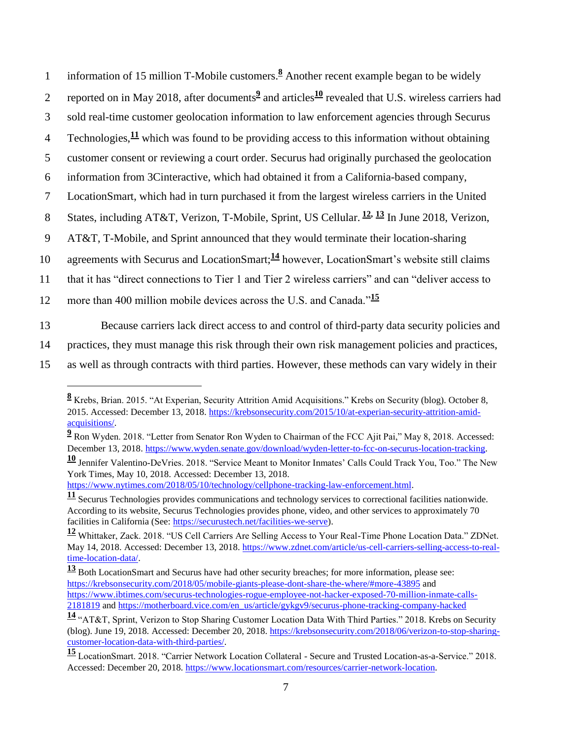1 information of 15 million T-Mobile customers.<sup>8</sup> Another recent example began to be widely

- 2 reported on in May 2018, after documents<sup>2</sup> and articles<sup>10</sup> revealed that U.S. wireless carriers had
- 3 sold real-time customer geolocation information to law enforcement agencies through Securus
- 4 Technologies,  $\frac{11}{1}$  which was found to be providing access to this information without obtaining
- 5 customer consent or reviewing a court order. Securus had originally purchased the geolocation
- 6 information from 3Cinteractive, which had obtained it from a California-based company,
- 7 LocationSmart, which had in turn purchased it from the largest wireless carriers in the United
- 8 States, including AT&T, Verizon, T-Mobile, Sprint, US Cellular.  $\frac{12}{3}$  In June 2018, Verizon,
- 9 AT&T, T-Mobile, and Sprint announced that they would terminate their location-sharing
- 10 agreements with Securus and LocationSmart:<sup>14</sup> however, LocationSmart's website still claims
- 11 that it has "direct connections to Tier 1 and Tier 2 wireless carriers" and can "deliver access to
- more than 400 million mobile devices across the U.S. and Canada."**<sup>15</sup>** 12

 $\overline{a}$ 

- 13 Because carriers lack direct access to and control of third-party data security policies and
- 14 practices, they must manage this risk through their own risk management policies and practices,
- 15 as well as through contracts with third parties. However, these methods can vary widely in their

[https://www.nytimes.com/2018/05/10/technology/cellphone-tracking-law-enforcement.html.](https://www.nytimes.com/2018/05/10/technology/cellphone-tracking-law-enforcement.html)

**<sup>8</sup>** Krebs, Brian. 2015. "At Experian, Security Attrition Amid Acquisitions." Krebs on Security (blog). October 8, 2015. Accessed: December 13, 2018[. https://krebsonsecurity.com/2015/10/at-experian-security-attrition-amid](https://krebsonsecurity.com/2015/10/at-experian-security-attrition-amid-acquisitions/)[acquisitions/.](https://krebsonsecurity.com/2015/10/at-experian-security-attrition-amid-acquisitions/)

**<sup>9</sup>** Ron Wyden. 2018. "Letter from Senator Ron Wyden to Chairman of the FCC Ajit Pai," May 8, 2018. Accessed: December 13, 2018[. https://www.wyden.senate.gov/download/wyden-letter-to-fcc-on-securus-location-tracking.](https://www.wyden.senate.gov/download/wyden-letter-to-fcc-on-securus-location-tracking)

**<sup>10</sup>** Jennifer Valentino-DeVries. 2018. "Service Meant to Monitor Inmates' Calls Could Track You, Too." The New York Times, May 10, 2018. Accessed: December 13, 2018.

**<sup>11</sup>** Securus Technologies provides communications and technology services to correctional facilities nationwide. According to its website, Securus Technologies provides phone, video, and other services to approximately 70 facilities in California (See: [https://securustech.net/facilities-we-serve\)](https://securustech.net/facilities-we-serve).

**<sup>12</sup>** Whittaker, Zack. 2018. "US Cell Carriers Are Selling Access to Your Real-Time Phone Location Data." ZDNet. May 14, 2018. Accessed: December 13, 2018. [https://www.zdnet.com/article/us-cell-carriers-selling-access-to-real](https://www.zdnet.com/article/us-cell-carriers-selling-access-to-real-time-location-data/)[time-location-data/.](https://www.zdnet.com/article/us-cell-carriers-selling-access-to-real-time-location-data/)

**<sup>13</sup>** Both LocationSmart and Securus have had other security breaches; for more information, please see: <https://krebsonsecurity.com/2018/05/mobile-giants-please-dont-share-the-where/#more-43895> and [https://www.ibtimes.com/securus-technologies-rogue-employee-not-hacker-exposed-70-million-inmate-calls-](https://www.ibtimes.com/securus-technologies-rogue-employee-not-hacker-exposed-70-million-inmate-calls-2181819)[2181819](https://www.ibtimes.com/securus-technologies-rogue-employee-not-hacker-exposed-70-million-inmate-calls-2181819) an[d https://motherboard.vice.com/en\\_us/article/gykgv9/securus-phone-tracking-company-hacked](https://motherboard.vice.com/en_us/article/gykgv9/securus-phone-tracking-company-hacked)

**<sup>14</sup>** "AT&T, Sprint, Verizon to Stop Sharing Customer Location Data With Third Parties." 2018. Krebs on Security (blog). June 19, 2018. Accessed: December 20, 2018. [https://krebsonsecurity.com/2018/06/verizon-to-stop-sharing](https://krebsonsecurity.com/2018/06/verizon-to-stop-sharing-customer-location-data-with-third-parties/)[customer-location-data-with-third-parties/.](https://krebsonsecurity.com/2018/06/verizon-to-stop-sharing-customer-location-data-with-third-parties/)

**<sup>15</sup>** LocationSmart. 2018. "Carrier Network Location Collateral - Secure and Trusted Location-as-a-Service." 2018. Accessed: December 20, 2018[. https://www.locationsmart.com/resources/carrier-network-location.](https://www.locationsmart.com/resources/carrier-network-location)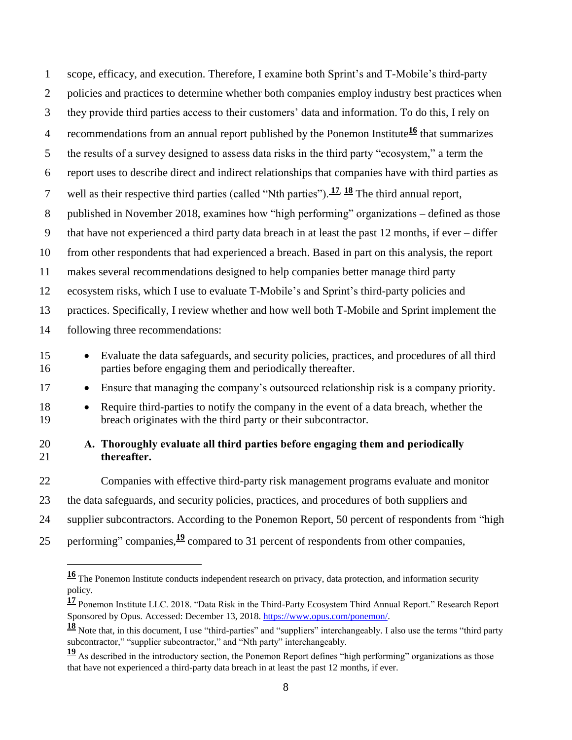scope, efficacy, and execution. Therefore, I examine both Sprint's and T-Mobile's third-party 2 policies and practices to determine whether both companies employ industry best practices when they provide third parties access to their customers' data and information. To do this, I rely on 4 recommendations from an annual report published by the Ponemon Institute<sup>16</sup> that summarizes the results of a survey designed to assess data risks in the third party "ecosystem," a term the report uses to describe direct and indirect relationships that companies have with third parties as well as their respective third parties (called "Nth parties"). **<sup>17</sup>**, **<sup>18</sup>** The third annual report, published in November 2018, examines how "high performing" organizations – defined as those that have not experienced a third party data breach in at least the past 12 months, if ever – differ from other respondents that had experienced a breach. Based in part on this analysis, the report makes several recommendations designed to help companies better manage third party ecosystem risks, which I use to evaluate T-Mobile's and Sprint's third-party policies and practices. Specifically, I review whether and how well both T-Mobile and Sprint implement the following three recommendations: • Evaluate the data safeguards, and security policies, practices, and procedures of all third parties before engaging them and periodically thereafter. • Ensure that managing the company's outsourced relationship risk is a company priority. • Require third-parties to notify the company in the event of a data breach, whether the breach originates with the third party or their subcontractor.

## <span id="page-7-0"></span> **A. Thoroughly evaluate all third parties before engaging them and periodically thereafter.**

 Companies with effective third-party risk management programs evaluate and monitor the data safeguards, and security policies, practices, and procedures of both suppliers and supplier subcontractors. According to the Ponemon Report, 50 percent of respondents from "high

25 performing" companies,  $\frac{19}{2}$  compared to 31 percent of respondents from other companies,

 The Ponemon Institute conducts independent research on privacy, data protection, and information security policy.

 Ponemon Institute LLC. 2018. "Data Risk in the Third-Party Ecosystem Third Annual Report." Research Report Sponsored by Opus. Accessed: December 13, 2018. [https://www.opus.com/ponemon/.](https://www.opus.com/ponemon/)

 Note that, in this document, I use "third-parties" and "suppliers" interchangeably. I also use the terms "third party subcontractor," "supplier subcontractor," and "Nth party" interchangeably.

 As described in the introductory section, the Ponemon Report defines "high performing" organizations as those that have not experienced a third-party data breach in at least the past 12 months, if ever.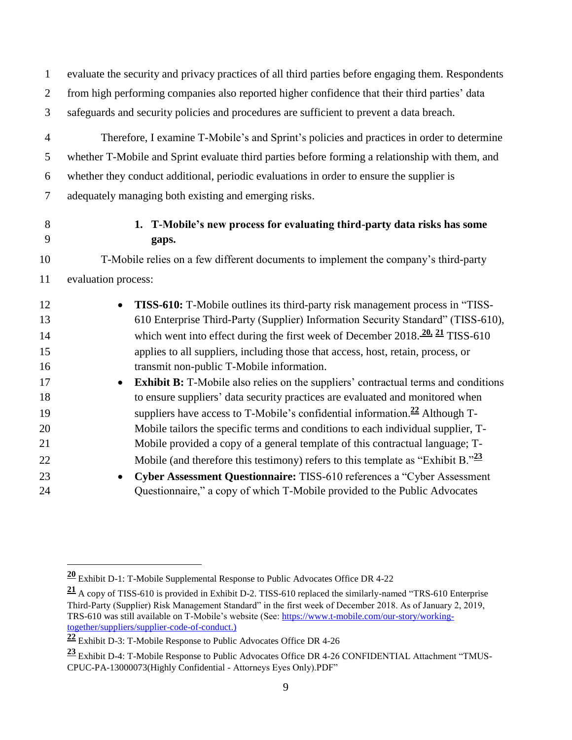<span id="page-8-0"></span>

| $\mathbf{1}$   | evaluate the security and privacy practices of all third parties before engaging them. Respondents |
|----------------|----------------------------------------------------------------------------------------------------|
| $\overline{2}$ | from high performing companies also reported higher confidence that their third parties' data      |
| 3              | safeguards and security policies and procedures are sufficient to prevent a data breach.           |
| $\overline{4}$ | Therefore, I examine T-Mobile's and Sprint's policies and practices in order to determine          |
| 5              | whether T-Mobile and Sprint evaluate third parties before forming a relationship with them, and    |
| 6              | whether they conduct additional, periodic evaluations in order to ensure the supplier is           |
| $\overline{7}$ | adequately managing both existing and emerging risks.                                              |
| 8<br>9         | 1. T-Mobile's new process for evaluating third-party data risks has some<br>gaps.                  |
| 10             | T-Mobile relies on a few different documents to implement the company's third-party                |
| 11             | evaluation process:                                                                                |
| 12             | TISS-610: T-Mobile outlines its third-party risk management process in "TISS-<br>$\bullet$         |
| 13             | 610 Enterprise Third-Party (Supplier) Information Security Standard" (TISS-610),                   |
| 14             | which went into effect during the first week of December $2018.\frac{20}{21}$ TISS-610             |
| 15             | applies to all suppliers, including those that access, host, retain, process, or                   |
| 16             | transmit non-public T-Mobile information.                                                          |
| 17             | <b>Exhibit B:</b> T-Mobile also relies on the suppliers' contractual terms and conditions          |
| 18             | to ensure suppliers' data security practices are evaluated and monitored when                      |
| 19             | suppliers have access to T-Mobile's confidential information. <sup>22</sup> Although T-            |
| 20             | Mobile tailors the specific terms and conditions to each individual supplier, T-                   |
| 21             | Mobile provided a copy of a general template of this contractual language; T-                      |
| 22             | Mobile (and therefore this testimony) refers to this template as "Exhibit B." $\frac{23}{2}$       |
| 23             | Cyber Assessment Questionnaire: TISS-610 references a "Cyber Assessment<br>$\bullet$               |

Questionnaire," a copy of which T-Mobile provided to the Public Advocates

Exhibit D-1: T-Mobile Supplemental Response to Public Advocates Office DR 4-22

 A copy of TISS-610 is provided in Exhibit D-2. TISS-610 replaced the similarly-named "TRS-610 Enterprise Third-Party (Supplier) Risk Management Standard" in the first week of December 2018. As of January 2, 2019, TRS-610 was still available on T-Mobile's website (See: [https://www.t-mobile.com/our-story/working](https://www.t-mobile.com/our-story/working-together/suppliers/supplier-code-of-conduct)[together/suppliers/supplier-code-of-conduct.\)](https://www.t-mobile.com/our-story/working-together/suppliers/supplier-code-of-conduct)

Exhibit D-3: T-Mobile Response to Public Advocates Office DR 4-26

 Exhibit D-4: T-Mobile Response to Public Advocates Office DR 4-26 CONFIDENTIAL Attachment "TMUS-CPUC-PA-13000073(Highly Confidential - Attorneys Eyes Only).PDF"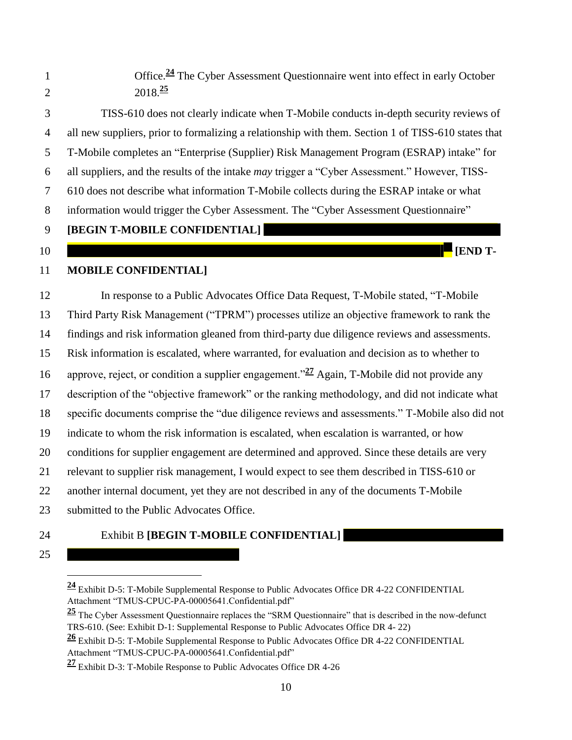1 Office.<sup>24</sup> The Cyber Assessment Questionnaire went into effect in early October  $2018.<sup>25</sup>$  TISS-610 does not clearly indicate when T-Mobile conducts in-depth security reviews of all new suppliers, prior to formalizing a relationship with them. Section 1 of TISS-610 states that T-Mobile completes an "Enterprise (Supplier) Risk Management Program (ESRAP) intake" for all suppliers, and the results of the intake *may* trigger a "Cyber Assessment." However, TISS- 610 does not describe what information T-Mobile collects during the ESRAP intake or what information would trigger the Cyber Assessment. The "Cyber Assessment Questionnaire" **[BEGIN T-MOBILE CONFIDENTIAL] [END T- MOBILE CONFIDENTIAL]** In response to a Public Advocates Office Data Request, T-Mobile stated, "T-Mobile Third Party Risk Management ("TPRM") processes utilize an objective framework to rank the findings and risk information gleaned from third-party due diligence reviews and assessments. Risk information is escalated, where warranted, for evaluation and decision as to whether to 16 approve, reject, or condition a supplier engagement.<sup>"27</sup> Again, T-Mobile did not provide any description of the "objective framework" or the ranking methodology, and did not indicate what specific documents comprise the "due diligence reviews and assessments." T-Mobile also did not indicate to whom the risk information is escalated, when escalation is warranted, or how conditions for supplier engagement are determined and approved. Since these details are very relevant to supplier risk management, I would expect to see them described in TISS-610 or another internal document, yet they are not described in any of the documents T-Mobile 23 submitted to the Public Advocates Office.

## Exhibit B **[BEGIN T-MOBILE CONFIDENTIAL]**

## $\overline{a}$ Exhibit D-5: T-Mobile Supplemental Response to Public Advocates Office DR 4-22 CONFIDENTIAL

Attachment "TMUS-CPUC-PA-00005641.Confidential.pdf"

 The Cyber Assessment Questionnaire replaces the "SRM Questionnaire" that is described in the now-defunct TRS-610. (See: Exhibit D-1: Supplemental Response to Public Advocates Office DR 4- 22)

 Exhibit D-5: T-Mobile Supplemental Response to Public Advocates Office DR 4-22 CONFIDENTIAL Attachment "TMUS-CPUC-PA-00005641.Confidential.pdf"

Exhibit D-3: T-Mobile Response to Public Advocates Office DR 4-26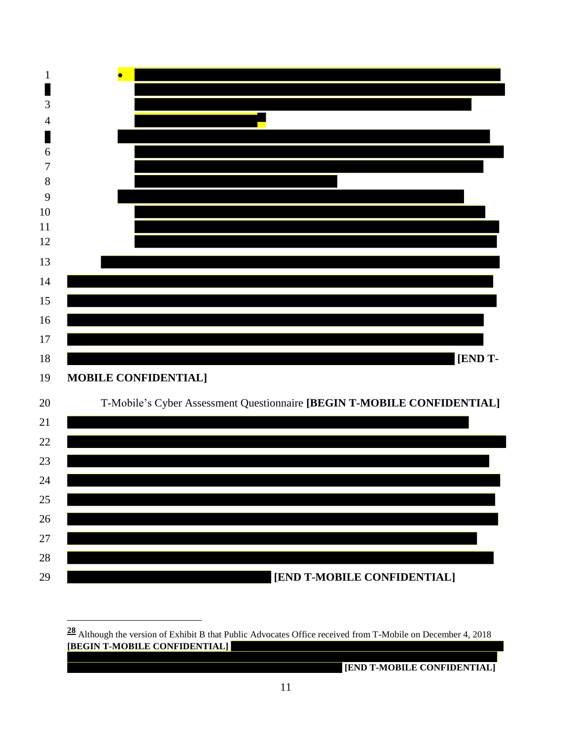

 Although the version of Exhibit B that Public Advocates Office received from T-Mobile on December 4, 2018 **[BEGIN T-MOBILE CONFIDENTIAL]** 

 $\overline{a}$ 

**[END T-MOBILE CONFIDENTIAL]**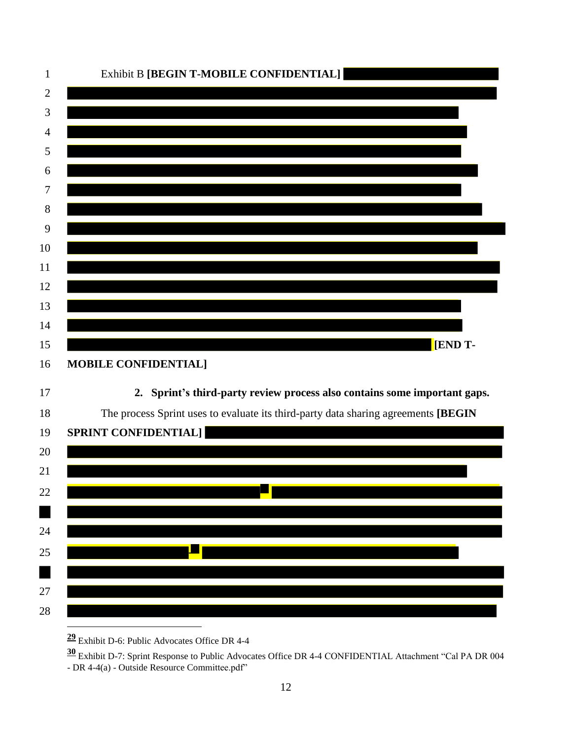

<span id="page-11-0"></span>Exhibit D-6: Public Advocates Office DR 4-4

 Exhibit D-7: Sprint Response to Public Advocates Office DR 4-4 CONFIDENTIAL Attachment "Cal PA DR 004 - DR 4-4(a) - Outside Resource Committee.pdf"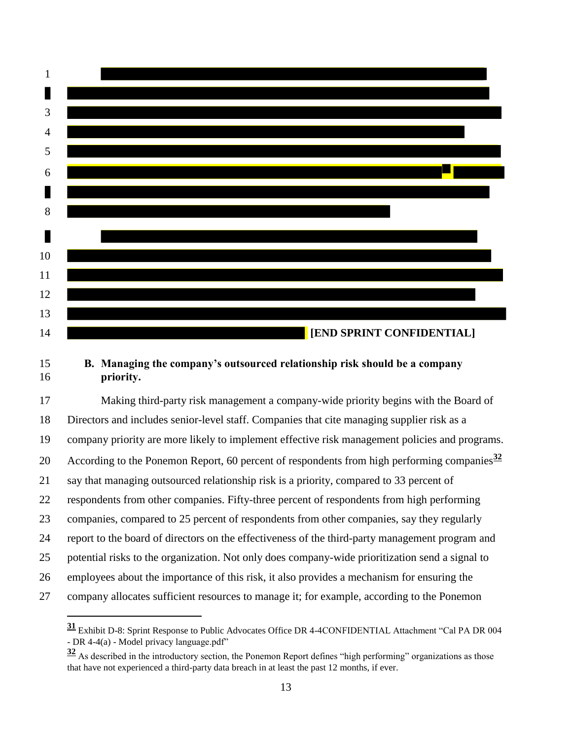

#### <span id="page-12-0"></span> **B. Managing the company's outsourced relationship risk should be a company priority.**

 Making third-party risk management a company-wide priority begins with the Board of Directors and includes senior-level staff. Companies that cite managing supplier risk as a company priority are more likely to implement effective risk management policies and programs. According to the Ponemon Report, 60 percent of respondents from high performing companies**<sup>32</sup>** say that managing outsourced relationship risk is a priority, compared to 33 percent of respondents from other companies. Fifty-three percent of respondents from high performing companies, compared to 25 percent of respondents from other companies, say they regularly report to the board of directors on the effectiveness of the third-party management program and potential risks to the organization. Not only does company-wide prioritization send a signal to employees about the importance of this risk, it also provides a mechanism for ensuring the company allocates sufficient resources to manage it; for example, according to the Ponemon

 Exhibit D-8: Sprint Response to Public Advocates Office DR 4-4CONFIDENTIAL Attachment "Cal PA DR 004 - DR 4-4(a) - Model privacy language.pdf"

 As described in the introductory section, the Ponemon Report defines "high performing" organizations as those that have not experienced a third-party data breach in at least the past 12 months, if ever.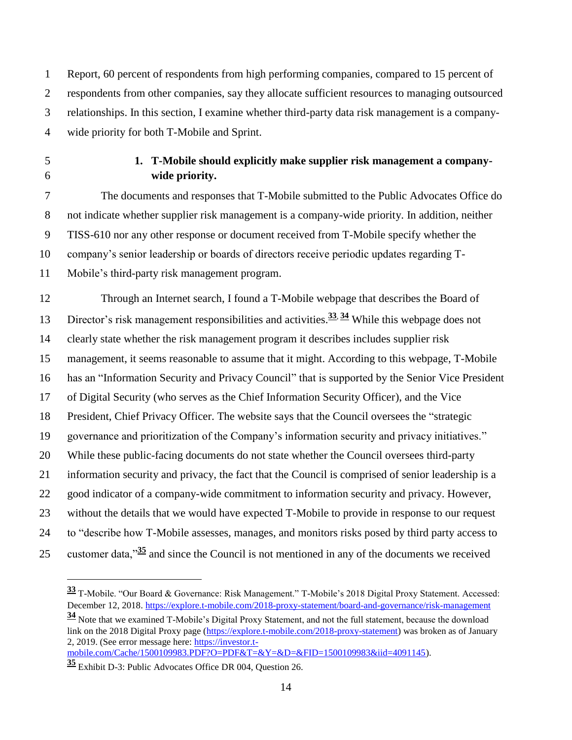Report, 60 percent of respondents from high performing companies, compared to 15 percent of respondents from other companies, say they allocate sufficient resources to managing outsourced relationships. In this section, I examine whether third-party data risk management is a company-wide priority for both T-Mobile and Sprint.

 $\overline{a}$ 

## <span id="page-13-0"></span> **1. T-Mobile should explicitly make supplier risk management a company-wide priority.**

 The documents and responses that T-Mobile submitted to the Public Advocates Office do not indicate whether supplier risk management is a company-wide priority. In addition, neither TISS-610 nor any other response or document received from T-Mobile specify whether the company's senior leadership or boards of directors receive periodic updates regarding T-Mobile's third-party risk management program.

 Through an Internet search, I found a T-Mobile webpage that describes the Board of Director's risk management responsibilities and activities. **<sup>33</sup>**, **<sup>34</sup>** While this webpage does not clearly state whether the risk management program it describes includes supplier risk management, it seems reasonable to assume that it might. According to this webpage, T-Mobile has an "Information Security and Privacy Council" that is supported by the Senior Vice President of Digital Security (who serves as the Chief Information Security Officer), and the Vice President, Chief Privacy Officer. The website says that the Council oversees the "strategic governance and prioritization of the Company's information security and privacy initiatives." While these public-facing documents do not state whether the Council oversees third-party information security and privacy, the fact that the Council is comprised of senior leadership is a good indicator of a company-wide commitment to information security and privacy. However, without the details that we would have expected T-Mobile to provide in response to our request to "describe how T-Mobile assesses, manages, and monitors risks posed by third party access to 25 customer data,<sup> $\frac{35}{2}$ </sup> and since the Council is not mentioned in any of the documents we received

 T-Mobile. "Our Board & Governance: Risk Management." T-Mobile's 2018 Digital Proxy Statement. Accessed: December 12, 2018[. https://explore.t-mobile.com/2018-proxy-statement/board-and-governance/risk-management](https://explore.t-mobile.com/2018-proxy-statement/board-and-governance/risk-management)

 Note that we examined T-Mobile's Digital Proxy Statement, and not the full statement, because the download link on the 2018 Digital Proxy page [\(https://explore.t-mobile.com/2018-proxy-statement\)](https://explore.t-mobile.com/2018-proxy-statement) was broken as of January 2, 2019. (See error message here: [https://investor.t-](https://investor.t-mobile.com/Cache/1500109983.PDF?O=PDF&T=&Y=&D=&FID=1500109983&iid=4091145)

[mobile.com/Cache/1500109983.PDF?O=PDF&T=&Y=&D=&FID=1500109983&iid=4091145\)](https://investor.t-mobile.com/Cache/1500109983.PDF?O=PDF&T=&Y=&D=&FID=1500109983&iid=4091145).

Exhibit D-3: Public Advocates Office DR 004, Question 26.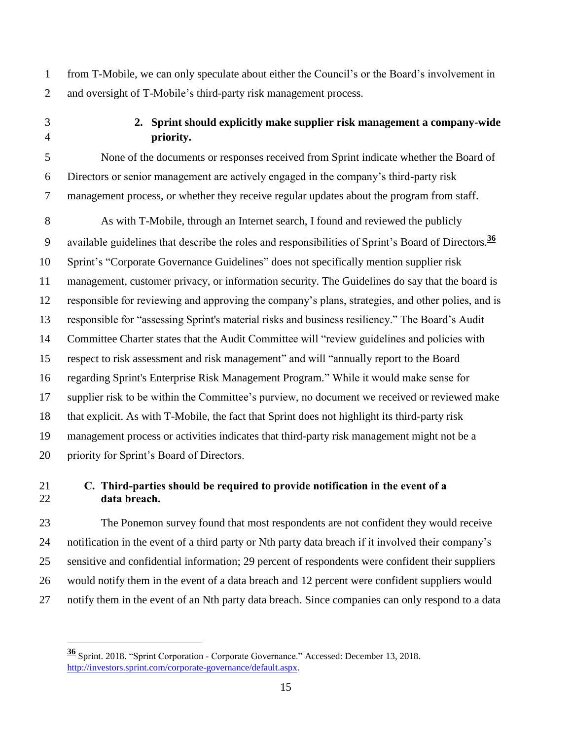from T-Mobile, we can only speculate about either the Council's or the Board's involvement in and oversight of T-Mobile's third-party risk management process.

 $\overline{a}$ 

## <span id="page-14-0"></span> **2. Sprint should explicitly make supplier risk management a company-wide priority.**

 None of the documents or responses received from Sprint indicate whether the Board of Directors or senior management are actively engaged in the company's third-party risk management process, or whether they receive regular updates about the program from staff.

 As with T-Mobile, through an Internet search, I found and reviewed the publicly available guidelines that describe the roles and responsibilities of Sprint's Board of Directors.**<sup>36</sup>** Sprint's "Corporate Governance Guidelines" does not specifically mention supplier risk management, customer privacy, or information security. The Guidelines do say that the board is responsible for reviewing and approving the company's plans, strategies, and other polies, and is responsible for "assessing Sprint's material risks and business resiliency." The Board's Audit Committee Charter states that the Audit Committee will "review guidelines and policies with respect to risk assessment and risk management" and will "annually report to the Board regarding Sprint's Enterprise Risk Management Program." While it would make sense for supplier risk to be within the Committee's purview, no document we received or reviewed make that explicit. As with T-Mobile, the fact that Sprint does not highlight its third-party risk management process or activities indicates that third-party risk management might not be a priority for Sprint's Board of Directors.

# <span id="page-14-1"></span> **C. Third-parties should be required to provide notification in the event of a data breach.**

 The Ponemon survey found that most respondents are not confident they would receive notification in the event of a third party or Nth party data breach if it involved their company's sensitive and confidential information; 29 percent of respondents were confident their suppliers would notify them in the event of a data breach and 12 percent were confident suppliers would notify them in the event of an Nth party data breach. Since companies can only respond to a data

 Sprint. 2018. "Sprint Corporation - Corporate Governance." Accessed: December 13, 2018. [http://investors.sprint.com/corporate-governance/default.aspx.](http://investors.sprint.com/corporate-governance/default.aspx)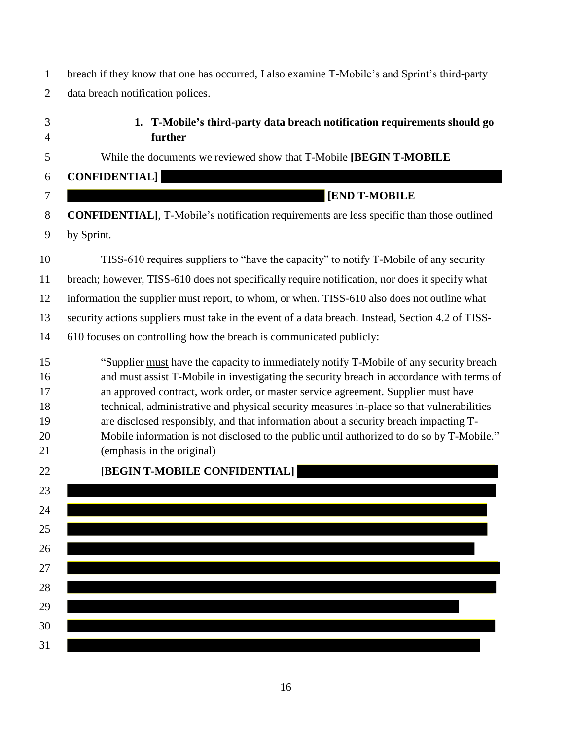breach if they know that one has occurred, I also examine T-Mobile's and Sprint's third-party data breach notification polices.

<span id="page-15-0"></span> **1. T-Mobile's third-party data breach notification requirements should go further**

While the documents we reviewed show that T-Mobile **[BEGIN T-MOBILE**

**CONFIDENTIAL]**

# **[END T-MOBILE**

 **CONFIDENTIAL]**, T-Mobile's notification requirements are less specific than those outlined by Sprint.

TISS-610 requires suppliers to "have the capacity" to notify T-Mobile of any security

breach; however, TISS-610 does not specifically require notification, nor does it specify what

information the supplier must report, to whom, or when. TISS-610 also does not outline what

security actions suppliers must take in the event of a data breach. Instead, Section 4.2 of TISS-

610 focuses on controlling how the breach is communicated publicly:

 "Supplier must have the capacity to immediately notify T-Mobile of any security breach and must assist T-Mobile in investigating the security breach in accordance with terms of an approved contract, work order, or master service agreement. Supplier must have technical, administrative and physical security measures in-place so that vulnerabilities are disclosed responsibly, and that information about a security breach impacting T-Mobile information is not disclosed to the public until authorized to do so by T-Mobile."

(emphasis in the original)

| 22 | [BEGIN T-MOBILE CONFIDENTIAL] |
|----|-------------------------------|
| 23 |                               |
| 24 |                               |
| 25 |                               |
| 26 |                               |
| 27 |                               |
| 28 |                               |
| 29 |                               |
| 30 |                               |
| 31 |                               |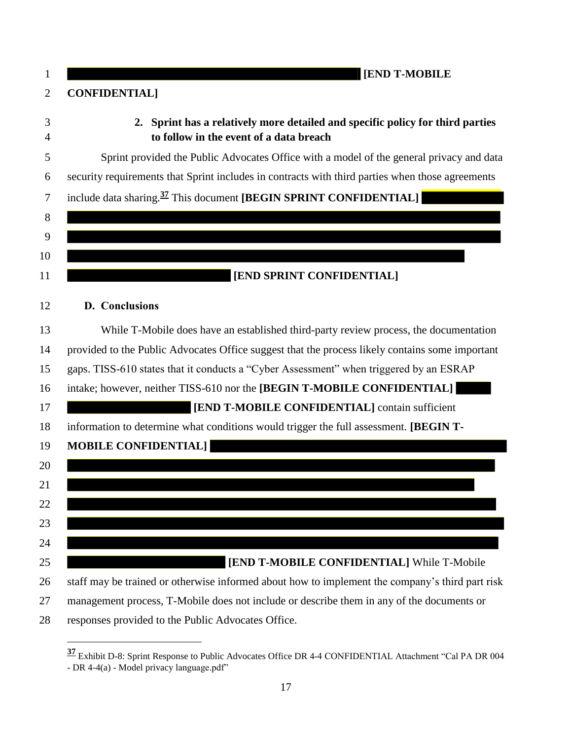<span id="page-16-1"></span><span id="page-16-0"></span>

| 1      | <b>[END T-MOBILE</b>                                                                                                      |
|--------|---------------------------------------------------------------------------------------------------------------------------|
| 2      | <b>CONFIDENTIAL</b> ]                                                                                                     |
| 3<br>4 | 2. Sprint has a relatively more detailed and specific policy for third parties<br>to follow in the event of a data breach |
| 5      | Sprint provided the Public Advocates Office with a model of the general privacy and data                                  |
| 6      | security requirements that Sprint includes in contracts with third parties when those agreements                          |
| 7      | include data sharing. <sup>37</sup> This document [BEGIN SPRINT CONFIDENTIAL]                                             |
| 8      |                                                                                                                           |
| 9      |                                                                                                                           |
| 10     |                                                                                                                           |
| 11     | [END SPRINT CONFIDENTIAL]                                                                                                 |
| 12     | D. Conclusions                                                                                                            |
| 13     | While T-Mobile does have an established third-party review process, the documentation                                     |
| 14     | provided to the Public Advocates Office suggest that the process likely contains some important                           |
| 15     | gaps. TISS-610 states that it conducts a "Cyber Assessment" when triggered by an ESRAP                                    |
| 16     | intake; however, neither TISS-610 nor the [BEGIN T-MOBILE CONFIDENTIAL]                                                   |
| 17     | [END T-MOBILE CONFIDENTIAL] contain sufficient                                                                            |
| 18     | information to determine what conditions would trigger the full assessment. [BEGIN T-                                     |
| 19     | <b>MOBILE CONFIDENTIAL]</b>                                                                                               |
| 20     |                                                                                                                           |
| 21     |                                                                                                                           |
| 22     |                                                                                                                           |
| 23     |                                                                                                                           |
| 24     |                                                                                                                           |
| 25     | [END T-MOBILE CONFIDENTIAL] While T-Mobile                                                                                |
| 26     | staff may be trained or otherwise informed about how to implement the company's third part risk                           |
| 27     | management process, T-Mobile does not include or describe them in any of the documents or                                 |
| 28     | responses provided to the Public Advocates Office.                                                                        |

 Exhibit D-8: Sprint Response to Public Advocates Office DR 4-4 CONFIDENTIAL Attachment "Cal PA DR 004 - DR 4-4(a) - Model privacy language.pdf"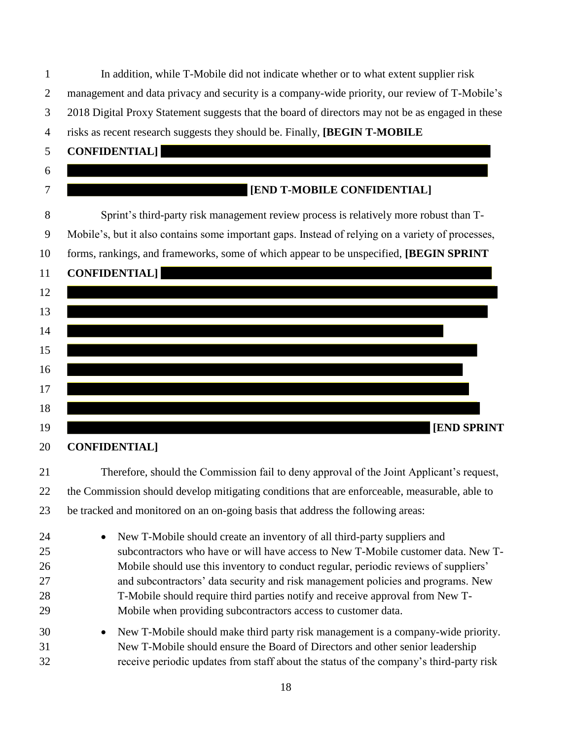| 1                                | In addition, while T-Mobile did not indicate whether or to what extent supplier risk                                                                                                                                                                                                                                                                                                                                                                                                                    |
|----------------------------------|---------------------------------------------------------------------------------------------------------------------------------------------------------------------------------------------------------------------------------------------------------------------------------------------------------------------------------------------------------------------------------------------------------------------------------------------------------------------------------------------------------|
| $\overline{2}$                   | management and data privacy and security is a company-wide priority, our review of T-Mobile's                                                                                                                                                                                                                                                                                                                                                                                                           |
| 3                                | 2018 Digital Proxy Statement suggests that the board of directors may not be as engaged in these                                                                                                                                                                                                                                                                                                                                                                                                        |
| $\overline{4}$                   | risks as recent research suggests they should be. Finally, [BEGIN T-MOBILE                                                                                                                                                                                                                                                                                                                                                                                                                              |
| 5                                | <b>CONFIDENTIAL]</b>                                                                                                                                                                                                                                                                                                                                                                                                                                                                                    |
| 6                                |                                                                                                                                                                                                                                                                                                                                                                                                                                                                                                         |
| 7                                | [END T-MOBILE CONFIDENTIAL]                                                                                                                                                                                                                                                                                                                                                                                                                                                                             |
| 8                                | Sprint's third-party risk management review process is relatively more robust than T-                                                                                                                                                                                                                                                                                                                                                                                                                   |
| 9                                | Mobile's, but it also contains some important gaps. Instead of relying on a variety of processes,                                                                                                                                                                                                                                                                                                                                                                                                       |
| 10                               | forms, rankings, and frameworks, some of which appear to be unspecified, [BEGIN SPRINT                                                                                                                                                                                                                                                                                                                                                                                                                  |
| 11                               | <b>CONFIDENTIAL]</b>                                                                                                                                                                                                                                                                                                                                                                                                                                                                                    |
| 12                               |                                                                                                                                                                                                                                                                                                                                                                                                                                                                                                         |
| 13                               |                                                                                                                                                                                                                                                                                                                                                                                                                                                                                                         |
| 14                               |                                                                                                                                                                                                                                                                                                                                                                                                                                                                                                         |
| 15                               |                                                                                                                                                                                                                                                                                                                                                                                                                                                                                                         |
| 16                               |                                                                                                                                                                                                                                                                                                                                                                                                                                                                                                         |
| 17                               |                                                                                                                                                                                                                                                                                                                                                                                                                                                                                                         |
| 18                               |                                                                                                                                                                                                                                                                                                                                                                                                                                                                                                         |
| 19                               | <b>[END SPRINT</b>                                                                                                                                                                                                                                                                                                                                                                                                                                                                                      |
| 20                               | <b>CONFIDENTIAL</b>                                                                                                                                                                                                                                                                                                                                                                                                                                                                                     |
| 21                               | Therefore, should the Commission fail to deny approval of the Joint Applicant's request,                                                                                                                                                                                                                                                                                                                                                                                                                |
| 22                               | the Commission should develop mitigating conditions that are enforceable, measurable, able to                                                                                                                                                                                                                                                                                                                                                                                                           |
| 23                               | be tracked and monitored on an on-going basis that address the following areas:                                                                                                                                                                                                                                                                                                                                                                                                                         |
| 24<br>25<br>26<br>27<br>28<br>29 | New T-Mobile should create an inventory of all third-party suppliers and<br>$\bullet$<br>subcontractors who have or will have access to New T-Mobile customer data. New T-<br>Mobile should use this inventory to conduct regular, periodic reviews of suppliers'<br>and subcontractors' data security and risk management policies and programs. New<br>T-Mobile should require third parties notify and receive approval from New T-<br>Mobile when providing subcontractors access to customer data. |
| 30<br>31<br>32                   | New T-Mobile should make third party risk management is a company-wide priority.<br>$\bullet$<br>New T-Mobile should ensure the Board of Directors and other senior leadership<br>receive periodic updates from staff about the status of the company's third-party risk                                                                                                                                                                                                                                |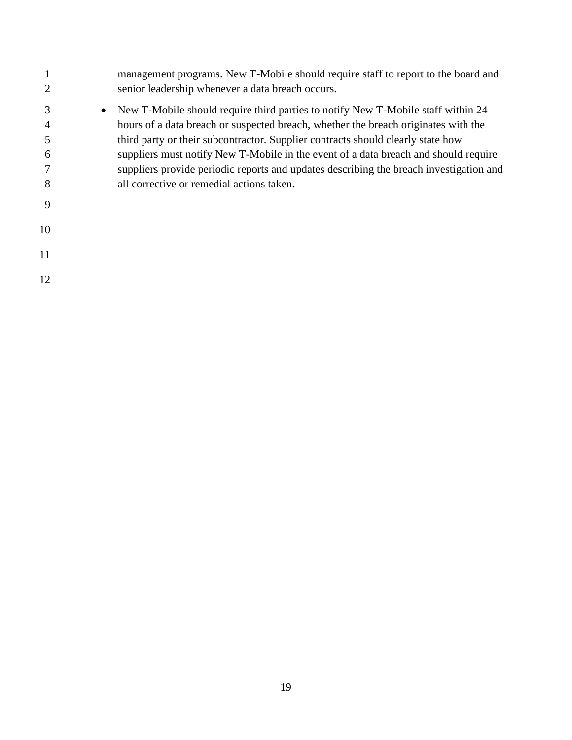|                  | management programs. New T-Mobile should require staff to report to the board and<br>senior leadership whenever a data breach occurs.                                                                                                                                                                                                                                                                                                                                                                |
|------------------|------------------------------------------------------------------------------------------------------------------------------------------------------------------------------------------------------------------------------------------------------------------------------------------------------------------------------------------------------------------------------------------------------------------------------------------------------------------------------------------------------|
| 3<br>4<br>6<br>8 | New T-Mobile should require third parties to notify New T-Mobile staff within 24<br>$\bullet$<br>hours of a data breach or suspected breach, whether the breach originates with the<br>third party or their subcontractor. Supplier contracts should clearly state how<br>suppliers must notify New T-Mobile in the event of a data breach and should require<br>suppliers provide periodic reports and updates describing the breach investigation and<br>all corrective or remedial actions taken. |
| 9                |                                                                                                                                                                                                                                                                                                                                                                                                                                                                                                      |
| 10               |                                                                                                                                                                                                                                                                                                                                                                                                                                                                                                      |
| 11               |                                                                                                                                                                                                                                                                                                                                                                                                                                                                                                      |
| 12               |                                                                                                                                                                                                                                                                                                                                                                                                                                                                                                      |
|                  |                                                                                                                                                                                                                                                                                                                                                                                                                                                                                                      |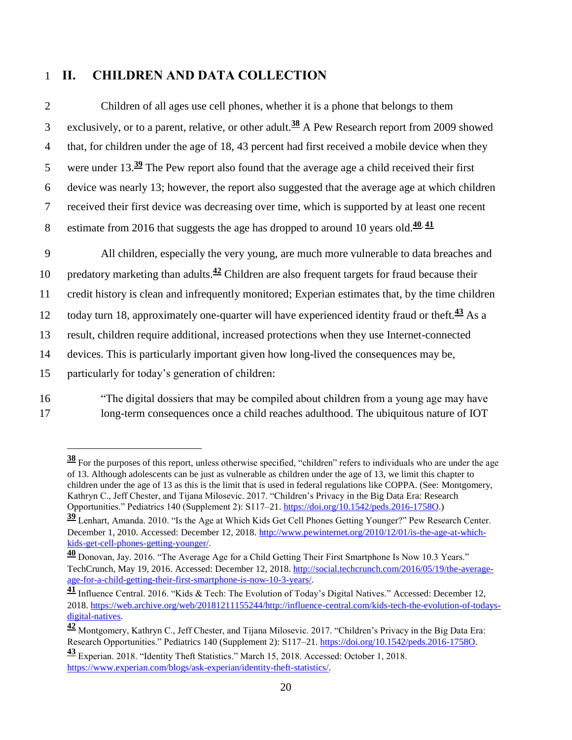# <span id="page-19-0"></span>**II. CHILDREN AND DATA COLLECTION**

| $\overline{2}$ | Children of all ages use cell phones, whether it is a phone that belongs to them                            |
|----------------|-------------------------------------------------------------------------------------------------------------|
| 3              | exclusively, or to a parent, relative, or other adult. <sup>38</sup> A Pew Research report from 2009 showed |
| $\overline{4}$ | that, for children under the age of 18, 43 percent had first received a mobile device when they             |
| 5              | were under $13.\frac{39}{2}$ The Pew report also found that the average age a child received their first    |
| 6              | device was nearly 13; however, the report also suggested that the average age at which children             |
| $\tau$         | received their first device was decreasing over time, which is supported by at least one recent             |
| 8              | estimate from 2016 that suggests the age has dropped to around 10 years old. $\frac{40}{1}$                 |
|                |                                                                                                             |
| 9              | All children, especially the very young, are much more vulnerable to data breaches and                      |
| 10             | predatory marketing than adults. $42$ Children are also frequent targets for fraud because their            |
| 11             | credit history is clean and infrequently monitored; Experian estimates that, by the time children           |
| 12             | today turn 18, approximately one-quarter will have experienced identity fraud or theft. <sup>43</sup> As a  |
| 13             | result, children require additional, increased protections when they use Internet-connected                 |
| 14             | devices. This is particularly important given how long-lived the consequences may be,                       |

 $\overline{a}$ 

 "The digital dossiers that may be compiled about children from a young age may have long-term consequences once a child reaches adulthood. The ubiquitous nature of IOT

 For the purposes of this report, unless otherwise specified, "children" refers to individuals who are under the age of 13. Although adolescents can be just as vulnerable as children under the age of 13, we limit this chapter to children under the age of 13 as this is the limit that is used in federal regulations like COPPA. (See: Montgomery, Kathryn C., Jeff Chester, and Tijana Milosevic. 2017. "Children's Privacy in the Big Data Era: Research Opportunities." Pediatrics 140 (Supplement 2): S117–21[. https://doi.org/10.1542/peds.2016-1758O.](https://doi.org/10.1542/peds.2016-1758O))

 Lenhart, Amanda. 2010. "Is the Age at Which Kids Get Cell Phones Getting Younger?" Pew Research Center. December 1, 2010. Accessed: December 12, 2018. [http://www.pewinternet.org/2010/12/01/is-the-age-at-which](http://www.pewinternet.org/2010/12/01/is-the-age-at-which-kids-get-cell-phones-getting-younger/)[kids-get-cell-phones-getting-younger/.](http://www.pewinternet.org/2010/12/01/is-the-age-at-which-kids-get-cell-phones-getting-younger/)

 Donovan, Jay. 2016. "The Average Age for a Child Getting Their First Smartphone Is Now 10.3 Years." TechCrunch, May 19, 2016. Accessed: December 12, 2018. [http://social.techcrunch.com/2016/05/19/the-average](http://social.techcrunch.com/2016/05/19/the-average-age-for-a-child-getting-their-first-smartphone-is-now-10-3-years/)[age-for-a-child-getting-their-first-smartphone-is-now-10-3-years/.](http://social.techcrunch.com/2016/05/19/the-average-age-for-a-child-getting-their-first-smartphone-is-now-10-3-years/)

 Influence Central. 2016. "Kids & Tech: The Evolution of Today's Digital Natives." Accessed: December 12, 2018. [https://web.archive.org/web/20181211155244/http://influence-central.com/kids-tech-the-evolution-of-todays](https://web.archive.org/web/20181211155244/http:/influence-central.com/kids-tech-the-evolution-of-todays-digital-natives)[digital-natives.](https://web.archive.org/web/20181211155244/http:/influence-central.com/kids-tech-the-evolution-of-todays-digital-natives)

 Montgomery, Kathryn C., Jeff Chester, and Tijana Milosevic. 2017. "Children's Privacy in the Big Data Era: Research Opportunities." Pediatrics 140 (Supplement 2): S117–21. [https://doi.org/10.1542/peds.2016-1758O.](https://doi.org/10.1542/peds.2016-1758O)

 Experian. 2018. "Identity Theft Statistics." March 15, 2018. Accessed: October 1, 2018. [https://www.experian.com/blogs/ask-experian/identity-theft-statistics/.](https://www.experian.com/blogs/ask-experian/identity-theft-statistics/)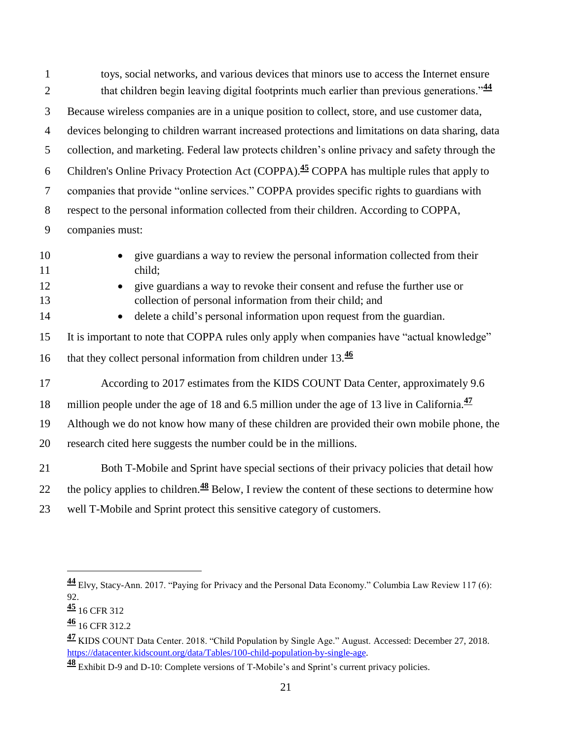| $\mathbf{1}$   | toys, social networks, and various devices that minors use to access the Internet ensure                                               |
|----------------|----------------------------------------------------------------------------------------------------------------------------------------|
| $\overline{2}$ | that children begin leaving digital footprints much earlier than previous generations." <sup>44</sup>                                  |
| 3              | Because wireless companies are in a unique position to collect, store, and use customer data,                                          |
| $\overline{4}$ | devices belonging to children warrant increased protections and limitations on data sharing, data                                      |
| 5              | collection, and marketing. Federal law protects children's online privacy and safety through the                                       |
| 6              | Children's Online Privacy Protection Act (COPPA). <sup>45</sup> COPPA has multiple rules that apply to                                 |
| $\overline{7}$ | companies that provide "online services." COPPA provides specific rights to guardians with                                             |
| 8              | respect to the personal information collected from their children. According to COPPA,                                                 |
| 9              | companies must:                                                                                                                        |
| 10<br>11       | give guardians a way to review the personal information collected from their<br>child;                                                 |
| 12<br>13       | give guardians a way to revoke their consent and refuse the further use or<br>collection of personal information from their child; and |
| 14             | delete a child's personal information upon request from the guardian.                                                                  |
| 15             | It is important to note that COPPA rules only apply when companies have "actual knowledge"                                             |
| 16             | that they collect personal information from children under 13.46                                                                       |
| 17             | According to 2017 estimates from the KIDS COUNT Data Center, approximately 9.6                                                         |
| 18             | million people under the age of 18 and 6.5 million under the age of 13 live in California. $\frac{47}{2}$                              |
| 19             | Although we do not know how many of these children are provided their own mobile phone, the                                            |
| 20             | research cited here suggests the number could be in the millions.                                                                      |
| 21             | Both T-Mobile and Sprint have special sections of their privacy policies that detail how                                               |
| 22             | the policy applies to children. <sup>48</sup> Below, I review the content of these sections to determine how                           |
| 23             | well T-Mobile and Sprint protect this sensitive category of customers.                                                                 |

 Elvy, Stacy-Ann. 2017. "Paying for Privacy and the Personal Data Economy." Columbia Law Review 117 (6): 92.

[16](https://www.ftc.gov/tips-advice/business-center/guidance/childrens-online-privacy-protection-rule-six-step-compliance#step5) CFR 312

16 CFR 312.2

 KIDS COUNT Data Center. 2018. "Child Population by Single Age." August. Accessed: December 27, 2018. [https://datacenter.kidscount.org/data/Tables/100-child-population-by-single-age.](https://datacenter.kidscount.org/data/Tables/100-child-population-by-single-age)

Exhibit D-9 and D-10: Complete versions of T-Mobile's and Sprint's current privacy policies.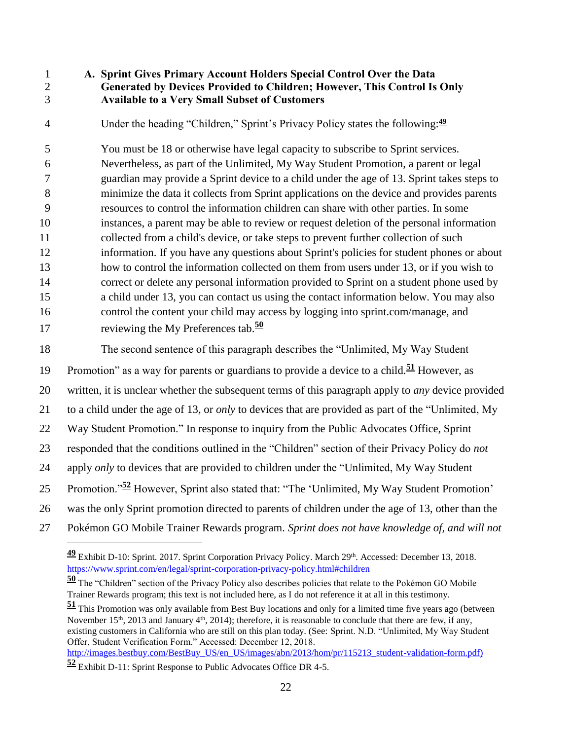<span id="page-21-0"></span>

 $\overline{a}$ 

#### **A. Sprint Gives Primary Account Holders Special Control Over the Data Generated by Devices Provided to Children; However, This Control Is Only Available to a Very Small Subset of Customers**

Under the heading "Children," Sprint's Privacy Policy states the following:**<sup>49</sup>**

 You must be 18 or otherwise have legal capacity to subscribe to Sprint services. Nevertheless, as part of the Unlimited, My Way Student Promotion, a parent or legal guardian may provide a Sprint device to a child under the age of 13. Sprint takes steps to minimize the data it collects from Sprint applications on the device and provides parents resources to control the information children can share with other parties. In some instances, a parent may be able to review or request deletion of the personal information collected from a child's device, or take steps to prevent further collection of such information. If you have any questions about Sprint's policies for student phones or about how to control the information collected on them from users under 13, or if you wish to correct or delete any personal information provided to Sprint on a student phone used by a child under 13, you can contact us using the contact information below. You may also control the content your child may access by logging into sprint.com/manage, and reviewing the My Preferences tab.**<sup>50</sup>**

The second sentence of this paragraph describes the "Unlimited, My Way Student

19 Promotion" as a way for parents or guardians to provide a device to a child.<sup>51</sup> However, as

written, it is unclear whether the subsequent terms of this paragraph apply to *any* device provided

to a child under the age of 13, or *only* to devices that are provided as part of the "Unlimited, My

Way Student Promotion." In response to inquiry from the Public Advocates Office, Sprint

responded that the conditions outlined in the "Children" section of their Privacy Policy do *not*

- apply *only* to devices that are provided to children under the "Unlimited, My Way Student
- Promotion."**<sup>52</sup>** However, Sprint also stated that: "The 'Unlimited, My Way Student Promotion'
- was the only Sprint promotion directed to parents of children under the age of 13, other than the
- Pokémon GO Mobile Trainer Rewards program. *Sprint does not have knowledge of, and will not*

[http://images.bestbuy.com/BestBuy\\_US/en\\_US/images/abn/2013/hom/pr/115213\\_student-validation-form.pdf\)](http://images.bestbuy.com/BestBuy_US/en_US/images/abn/2013/hom/pr/115213_student-validation-form.pdf)

<sup>&</sup>lt;sup>49</sup> Exhibit D-10: Sprint. 2017. Sprint Corporation Privacy Policy. March 29<sup>th</sup>. Accessed: December 13, 2018. <https://www.sprint.com/en/legal/sprint-corporation-privacy-policy.html#children>

 The "Children" section of the Privacy Policy also describes policies that relate to the Pokémon GO Mobile Trainer Rewards program; this text is not included here, as I do not reference it at all in this testimony.

 This Promotion was only available from Best Buy locations and only for a limited time five years ago (between November 15<sup>th</sup>, 2013 and January 4<sup>th</sup>, 2014); therefore, it is reasonable to conclude that there are few, if any, existing customers in California who are still on this plan today. (See: Sprint. N.D. "Unlimited, My Way Student Offer, Student Verification Form." Accessed: December 12, 2018.

Exhibit D-11: Sprint Response to Public Advocates Office DR 4-5.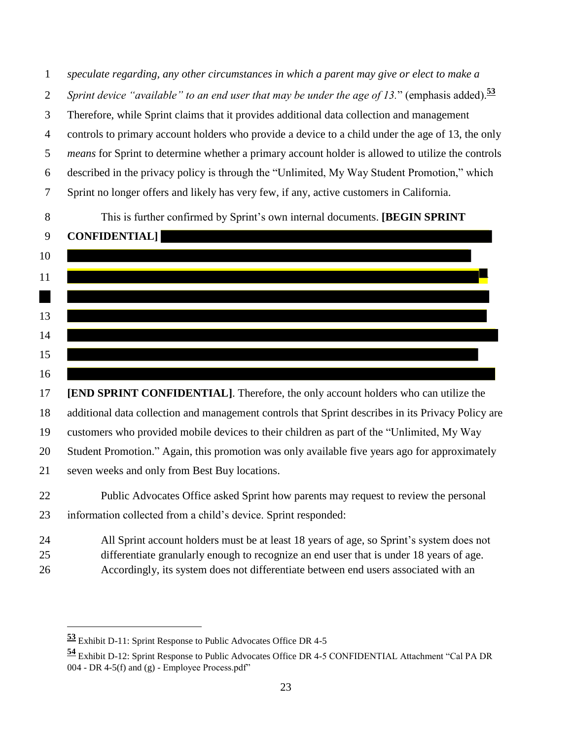*speculate regarding, any other circumstances in which a parent may give or elect to make a Sprint device "available" to an end user that may be under the age of 13.*" (emphasis added).**<sup>53</sup>** Therefore, while Sprint claims that it provides additional data collection and management controls to primary account holders who provide a device to a child under the age of 13, the only *means* for Sprint to determine whether a primary account holder is allowed to utilize the controls described in the privacy policy is through the "Unlimited, My Way Student Promotion," which Sprint no longer offers and likely has very few, if any, active customers in California.

This is further confirmed by Sprint's own internal documents. **[BEGIN SPRINT**



 **[END SPRINT CONFIDENTIAL]**. Therefore, the only account holders who can utilize the additional data collection and management controls that Sprint describes in its Privacy Policy are customers who provided mobile devices to their children as part of the "Unlimited, My Way Student Promotion." Again, this promotion was only available five years ago for approximately seven weeks and only from Best Buy locations.

 Public Advocates Office asked Sprint how parents may request to review the personal information collected from a child's device. Sprint responded:

 All Sprint account holders must be at least 18 years of age, so Sprint's system does not differentiate granularly enough to recognize an end user that is under 18 years of age. Accordingly, its system does not differentiate between end users associated with an

Exhibit D-11: Sprint Response to Public Advocates Office DR 4-5

 Exhibit D-12: Sprint Response to Public Advocates Office DR 4-5 CONFIDENTIAL Attachment "Cal PA DR 004 - DR 4-5(f) and  $(g)$  - Employee Process.pdf"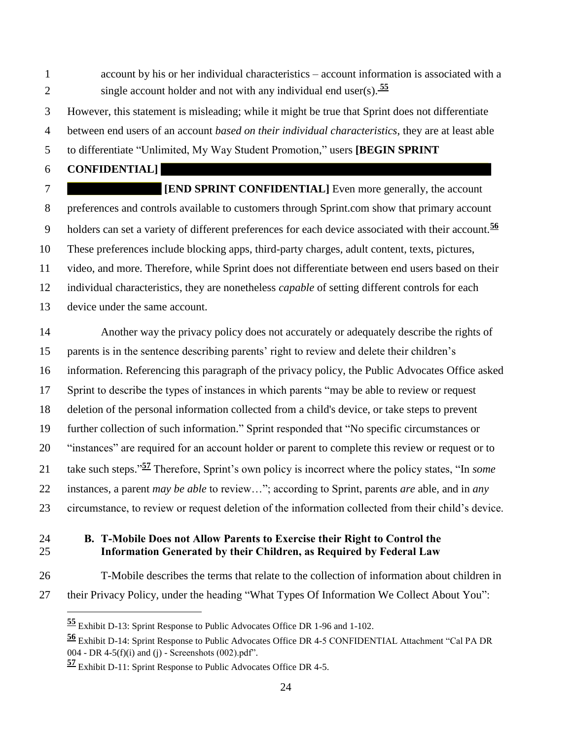account by his or her individual characteristics – account information is associated with a single account holder and not with any individual end user(s). **<sup>55</sup>**

However, this statement is misleading; while it might be true that Sprint does not differentiate

between end users of an account *based on their individual characteristics*, they are at least able

to differentiate "Unlimited, My Way Student Promotion," users **[BEGIN SPRINT**

**CONFIDENTIAL]**

**FIRMPIF ISSUE EXPRINT CONFIDENTIAL** Even more generally, the account preferences and controls available to customers through Sprint.com show that primary account holders can set a variety of different preferences for each device associated with their account.**<sup>56</sup>** These preferences include blocking apps, third-party charges, adult content, texts, pictures, video, and more. Therefore, while Sprint does not differentiate between end users based on their individual characteristics, they are nonetheless *capable* of setting different controls for each device under the same account.

 Another way the privacy policy does not accurately or adequately describe the rights of parents is in the sentence describing parents' right to review and delete their children's information. Referencing this paragraph of the privacy policy, the Public Advocates Office asked Sprint to describe the types of instances in which parents "may be able to review or request deletion of the personal information collected from a child's device, or take steps to prevent further collection of such information." Sprint responded that "No specific circumstances or "instances" are required for an account holder or parent to complete this review or request or to 21 take such steps."<sup>57</sup> Therefore, Sprint's own policy is incorrect where the policy states, "In *some*  instances, a parent *may be able* to review…"; according to Sprint, parents *are* able, and in *any* circumstance, to review or request deletion of the information collected from their child's device.

## <span id="page-23-0"></span> **B. T-Mobile Does not Allow Parents to Exercise their Right to Control the Information Generated by their Children, as Required by Federal Law**

 $\overline{a}$ 

T-Mobile describes the terms that relate to the collection of information about children in

their Privacy Policy, under the heading "What Types Of Information We Collect About You":

Exhibit D-13: Sprint Response to Public Advocates Office DR 1-96 and 1-102.

 Exhibit D-14: Sprint Response to Public Advocates Office DR 4-5 CONFIDENTIAL Attachment "Cal PA DR 004 - DR 4-5(f)(i) and (j) - Screenshots (002).pdf".

Exhibit D-11: Sprint Response to Public Advocates Office DR 4-5.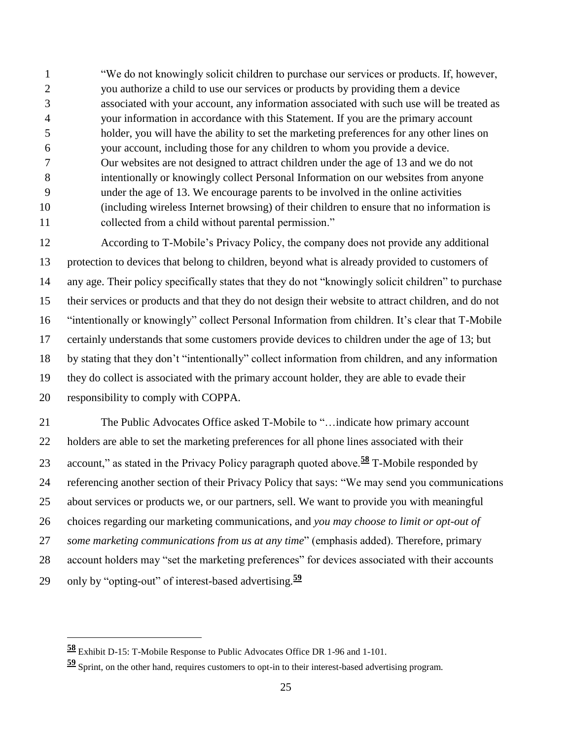"We do not knowingly solicit children to purchase our services or products. If, however, you authorize a child to use our services or products by providing them a device associated with your account, any information associated with such use will be treated as your information in accordance with this Statement. If you are the primary account holder, you will have the ability to set the marketing preferences for any other lines on your account, including those for any children to whom you provide a device. Our websites are not designed to attract children under the age of 13 and we do not intentionally or knowingly collect Personal Information on our websites from anyone under the age of 13. We encourage parents to be involved in the online activities (including wireless Internet browsing) of their children to ensure that no information is collected from a child without parental permission."

 According to T-Mobile's Privacy Policy, the company does not provide any additional protection to devices that belong to children, beyond what is already provided to customers of any age. Their policy specifically states that they do not "knowingly solicit children" to purchase their services or products and that they do not design their website to attract children, and do not "intentionally or knowingly" collect Personal Information from children. It's clear that T-Mobile certainly understands that some customers provide devices to children under the age of 13; but by stating that they don't "intentionally" collect information from children, and any information they do collect is associated with the primary account holder, they are able to evade their responsibility to comply with COPPA.

 The Public Advocates Office asked T-Mobile to "…indicate how primary account holders are able to set the marketing preferences for all phone lines associated with their 23 account," as stated in the Privacy Policy paragraph quoted above.<sup>58</sup> T-Mobile responded by referencing another section of their Privacy Policy that says: "We may send you communications about services or products we, or our partners, sell. We want to provide you with meaningful choices regarding our marketing communications, and *you may choose to limit or opt-out of some marketing communications from us at any time*" (emphasis added). Therefore, primary account holders may "set the marketing preferences" for devices associated with their accounts only by "opting-out" of interest-based advertising.**<sup>59</sup>**

Exhibit D-15: T-Mobile Response to Public Advocates Office DR 1-96 and 1-101.

Sprint, on the other hand, requires customers to opt-in to their interest-based advertising program.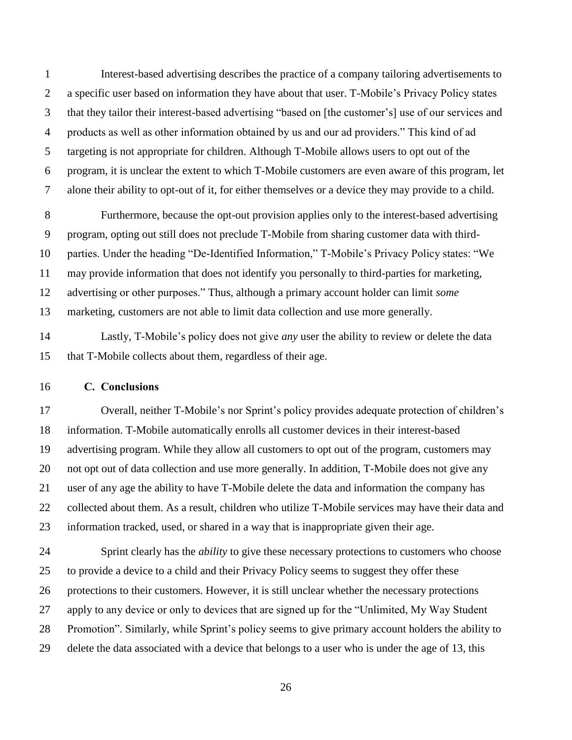Interest-based advertising describes the practice of a company tailoring advertisements to a specific user based on information they have about that user. T-Mobile's Privacy Policy states that they tailor their interest-based advertising "based on [the customer's] use of our services and products as well as other information obtained by us and our ad providers." This kind of ad targeting is not appropriate for children. Although T-Mobile allows users to opt out of the program, it is unclear the extent to which T-Mobile customers are even aware of this program, let alone their ability to opt-out of it, for either themselves or a device they may provide to a child.

 Furthermore, because the opt-out provision applies only to the interest-based advertising program, opting out still does not preclude T-Mobile from sharing customer data with third- parties. Under the heading "De-Identified Information," T-Mobile's Privacy Policy states: "We may provide information that does not identify you personally to third-parties for marketing, advertising or other purposes." Thus, although a primary account holder can limit *some* marketing, customers are not able to limit data collection and use more generally.

 Lastly, T-Mobile's policy does not give *any* user the ability to review or delete the data that T-Mobile collects about them, regardless of their age.

#### <span id="page-25-0"></span>**C. Conclusions**

 Overall, neither T-Mobile's nor Sprint's policy provides adequate protection of children's information. T-Mobile automatically enrolls all customer devices in their interest-based advertising program. While they allow all customers to opt out of the program, customers may not opt out of data collection and use more generally. In addition, T-Mobile does not give any user of any age the ability to have T-Mobile delete the data and information the company has collected about them. As a result, children who utilize T-Mobile services may have their data and information tracked, used, or shared in a way that is inappropriate given their age.

 Sprint clearly has the *ability* to give these necessary protections to customers who choose to provide a device to a child and their Privacy Policy seems to suggest they offer these protections to their customers. However, it is still unclear whether the necessary protections apply to any device or only to devices that are signed up for the "Unlimited, My Way Student Promotion". Similarly, while Sprint's policy seems to give primary account holders the ability to delete the data associated with a device that belongs to a user who is under the age of 13, this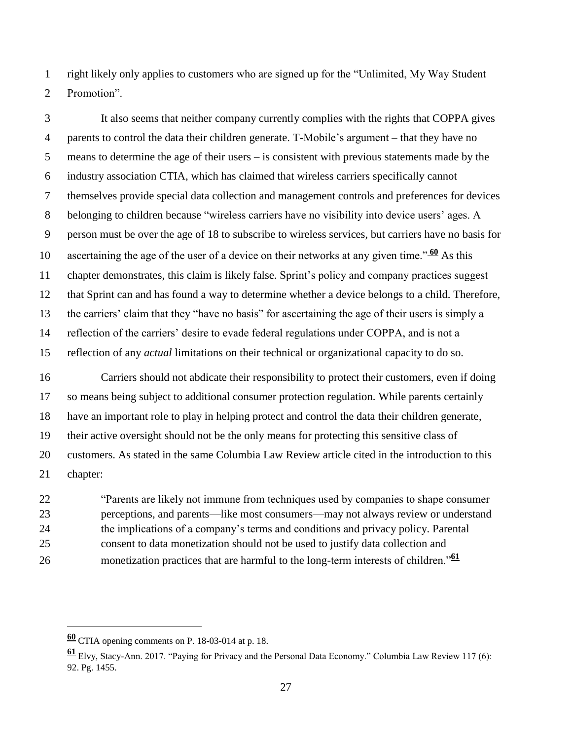right likely only applies to customers who are signed up for the "Unlimited, My Way Student Promotion".

 It also seems that neither company currently complies with the rights that COPPA gives parents to control the data their children generate. T-Mobile's argument – that they have no means to determine the age of their users – is consistent with previous statements made by the industry association CTIA, which has claimed that wireless carriers specifically cannot themselves provide special data collection and management controls and preferences for devices belonging to children because "wireless carriers have no visibility into device users' ages. A person must be over the age of 18 to subscribe to wireless services, but carriers have no basis for 10 ascertaining the age of the user of a device on their networks at any given time." $\frac{60}{60}$  As this chapter demonstrates, this claim is likely false. Sprint's policy and company practices suggest that Sprint can and has found a way to determine whether a device belongs to a child. Therefore, the carriers' claim that they "have no basis" for ascertaining the age of their users is simply a reflection of the carriers' desire to evade federal regulations under COPPA, and is not a reflection of any *actual* limitations on their technical or organizational capacity to do so.

 Carriers should not abdicate their responsibility to protect their customers, even if doing so means being subject to additional consumer protection regulation. While parents certainly have an important role to play in helping protect and control the data their children generate, their active oversight should not be the only means for protecting this sensitive class of customers. As stated in the same Columbia Law Review article cited in the introduction to this chapter:

 "Parents are likely not immune from techniques used by companies to shape consumer perceptions, and parents—like most consumers—may not always review or understand the implications of a company's terms and conditions and privacy policy. Parental consent to data monetization should not be used to justify data collection and monetization practices that are harmful to the long-term interests of children."**<sup>61</sup>**

CTIA opening comments on P. 18-03-014 at p. 18.

 Elvy, Stacy-Ann. 2017. "Paying for Privacy and the Personal Data Economy." Columbia Law Review 117 (6): 92. Pg. 1455.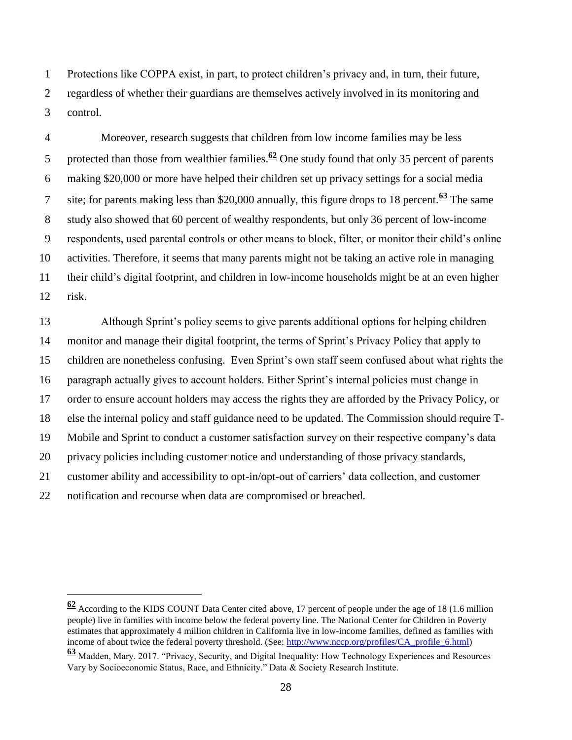Protections like COPPA exist, in part, to protect children's privacy and, in turn, their future, regardless of whether their guardians are themselves actively involved in its monitoring and control.

 Moreover, research suggests that children from low income families may be less 5 protected than those from wealthier families. $\frac{62}{2}$  One study found that only 35 percent of parents making \$20,000 or more have helped their children set up privacy settings for a social media site; for parents making less than \$20,000 annually, this figure drops to 18 percent.**<sup>63</sup>** The same study also showed that 60 percent of wealthy respondents, but only 36 percent of low-income respondents, used parental controls or other means to block, filter, or monitor their child's online activities. Therefore, it seems that many parents might not be taking an active role in managing their child's digital footprint, and children in low-income households might be at an even higher risk.

 Although Sprint's policy seems to give parents additional options for helping children monitor and manage their digital footprint, the terms of Sprint's Privacy Policy that apply to children are nonetheless confusing. Even Sprint's own staff seem confused about what rights the paragraph actually gives to account holders. Either Sprint's internal policies must change in order to ensure account holders may access the rights they are afforded by the Privacy Policy, or else the internal policy and staff guidance need to be updated. The Commission should require T- Mobile and Sprint to conduct a customer satisfaction survey on their respective company's data privacy policies including customer notice and understanding of those privacy standards, customer ability and accessibility to opt-in/opt-out of carriers' data collection, and customer notification and recourse when data are compromised or breached.

 According to the KIDS COUNT Data Center cited above, 17 percent of people under the age of 18 (1.6 million people) live in families with income below the federal poverty line. The National Center for Children in Poverty estimates that approximately 4 million children in California live in low-income families, defined as families with income of about twice the federal poverty threshold. (See: [http://www.nccp.org/profiles/CA\\_profile\\_6.html\)](http://www.nccp.org/profiles/CA_profile_6.html)

 Madden, Mary. 2017. "Privacy, Security, and Digital Inequality: How Technology Experiences and Resources Vary by Socioeconomic Status, Race, and Ethnicity." Data & Society Research Institute.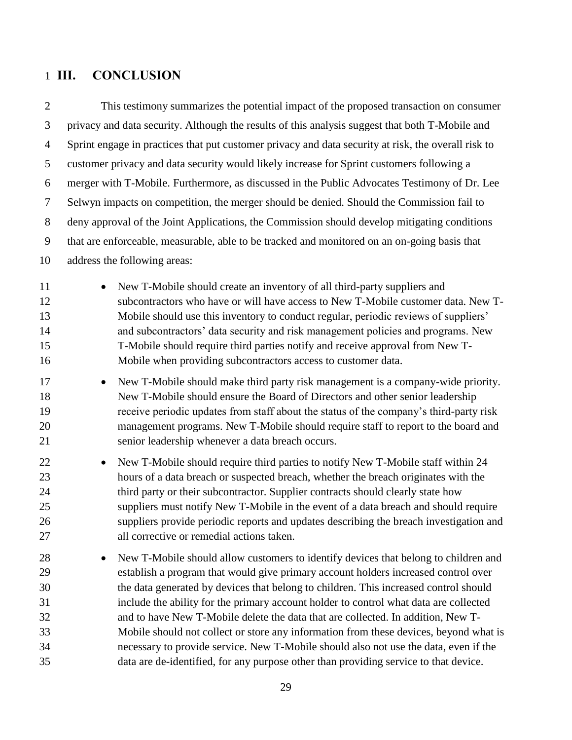# <span id="page-28-0"></span>**III. CONCLUSION**

| $\overline{2}$                               | This testimony summarizes the potential impact of the proposed transaction on consumer                                                                                                                                                                                                                                                                                                                                                                                                                                                                                                                                                                                                                                               |  |
|----------------------------------------------|--------------------------------------------------------------------------------------------------------------------------------------------------------------------------------------------------------------------------------------------------------------------------------------------------------------------------------------------------------------------------------------------------------------------------------------------------------------------------------------------------------------------------------------------------------------------------------------------------------------------------------------------------------------------------------------------------------------------------------------|--|
| 3                                            | privacy and data security. Although the results of this analysis suggest that both T-Mobile and                                                                                                                                                                                                                                                                                                                                                                                                                                                                                                                                                                                                                                      |  |
| $\overline{4}$                               | Sprint engage in practices that put customer privacy and data security at risk, the overall risk to                                                                                                                                                                                                                                                                                                                                                                                                                                                                                                                                                                                                                                  |  |
| 5                                            | customer privacy and data security would likely increase for Sprint customers following a                                                                                                                                                                                                                                                                                                                                                                                                                                                                                                                                                                                                                                            |  |
| 6                                            | merger with T-Mobile. Furthermore, as discussed in the Public Advocates Testimony of Dr. Lee                                                                                                                                                                                                                                                                                                                                                                                                                                                                                                                                                                                                                                         |  |
| 7                                            | Selwyn impacts on competition, the merger should be denied. Should the Commission fail to                                                                                                                                                                                                                                                                                                                                                                                                                                                                                                                                                                                                                                            |  |
| $8\,$                                        | deny approval of the Joint Applications, the Commission should develop mitigating conditions                                                                                                                                                                                                                                                                                                                                                                                                                                                                                                                                                                                                                                         |  |
| 9                                            | that are enforceable, measurable, able to be tracked and monitored on an on-going basis that                                                                                                                                                                                                                                                                                                                                                                                                                                                                                                                                                                                                                                         |  |
| 10                                           | address the following areas:                                                                                                                                                                                                                                                                                                                                                                                                                                                                                                                                                                                                                                                                                                         |  |
| 11<br>12<br>13<br>14<br>15<br>16             | New T-Mobile should create an inventory of all third-party suppliers and<br>$\bullet$<br>subcontractors who have or will have access to New T-Mobile customer data. New T-<br>Mobile should use this inventory to conduct regular, periodic reviews of suppliers'<br>and subcontractors' data security and risk management policies and programs. New<br>T-Mobile should require third parties notify and receive approval from New T-<br>Mobile when providing subcontractors access to customer data.                                                                                                                                                                                                                              |  |
| 17<br>18<br>19<br>20<br>21                   | New T-Mobile should make third party risk management is a company-wide priority.<br>$\bullet$<br>New T-Mobile should ensure the Board of Directors and other senior leadership<br>receive periodic updates from staff about the status of the company's third-party risk<br>management programs. New T-Mobile should require staff to report to the board and<br>senior leadership whenever a data breach occurs.                                                                                                                                                                                                                                                                                                                    |  |
| 22<br>23<br>24<br>25<br>26<br>27             | New T-Mobile should require third parties to notify New T-Mobile staff within 24<br>$\bullet$<br>hours of a data breach or suspected breach, whether the breach originates with the<br>third party or their subcontractor. Supplier contracts should clearly state how<br>suppliers must notify New T-Mobile in the event of a data breach and should require<br>suppliers provide periodic reports and updates describing the breach investigation and<br>all corrective or remedial actions taken.                                                                                                                                                                                                                                 |  |
| 28<br>29<br>30<br>31<br>32<br>33<br>34<br>35 | New T-Mobile should allow customers to identify devices that belong to children and<br>$\bullet$<br>establish a program that would give primary account holders increased control over<br>the data generated by devices that belong to children. This increased control should<br>include the ability for the primary account holder to control what data are collected<br>and to have New T-Mobile delete the data that are collected. In addition, New T-<br>Mobile should not collect or store any information from these devices, beyond what is<br>necessary to provide service. New T-Mobile should also not use the data, even if the<br>data are de-identified, for any purpose other than providing service to that device. |  |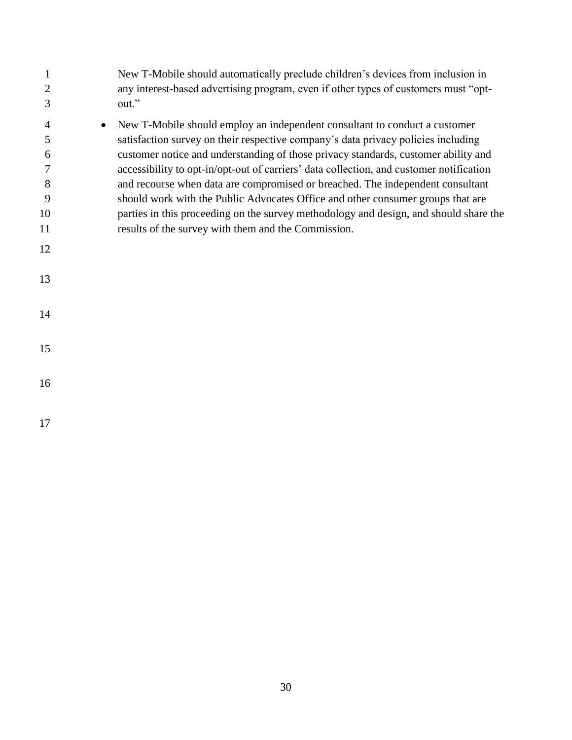| 1<br>$\overline{2}$<br>3                            | New T-Mobile should automatically preclude children's devices from inclusion in<br>any interest-based advertising program, even if other types of customers must "opt-<br>out."                                                                                                                                                                                                                                                                                                                                                                                                                                                                                       |
|-----------------------------------------------------|-----------------------------------------------------------------------------------------------------------------------------------------------------------------------------------------------------------------------------------------------------------------------------------------------------------------------------------------------------------------------------------------------------------------------------------------------------------------------------------------------------------------------------------------------------------------------------------------------------------------------------------------------------------------------|
| 4<br>$\bullet$<br>5<br>6<br>7<br>8<br>9<br>10<br>11 | New T-Mobile should employ an independent consultant to conduct a customer<br>satisfaction survey on their respective company's data privacy policies including<br>customer notice and understanding of those privacy standards, customer ability and<br>accessibility to opt-in/opt-out of carriers' data collection, and customer notification<br>and recourse when data are compromised or breached. The independent consultant<br>should work with the Public Advocates Office and other consumer groups that are<br>parties in this proceeding on the survey methodology and design, and should share the<br>results of the survey with them and the Commission. |
| 12                                                  |                                                                                                                                                                                                                                                                                                                                                                                                                                                                                                                                                                                                                                                                       |
| 13                                                  |                                                                                                                                                                                                                                                                                                                                                                                                                                                                                                                                                                                                                                                                       |
| 14                                                  |                                                                                                                                                                                                                                                                                                                                                                                                                                                                                                                                                                                                                                                                       |
| 15                                                  |                                                                                                                                                                                                                                                                                                                                                                                                                                                                                                                                                                                                                                                                       |
| 16                                                  |                                                                                                                                                                                                                                                                                                                                                                                                                                                                                                                                                                                                                                                                       |
|                                                     |                                                                                                                                                                                                                                                                                                                                                                                                                                                                                                                                                                                                                                                                       |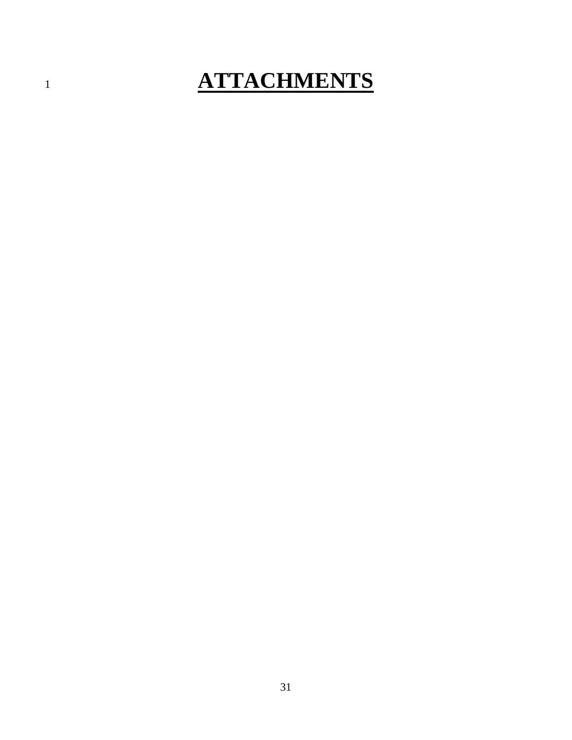# **ATTACHMENTS**